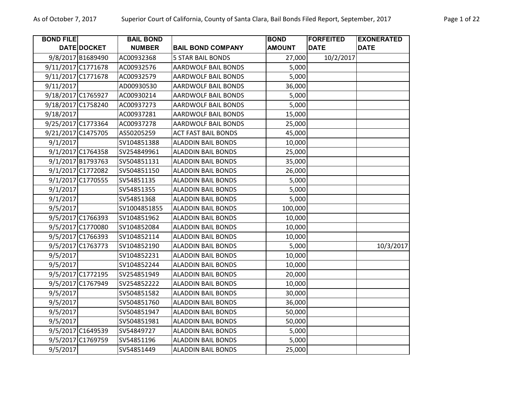| <b>BOND FILE</b>   |                    | <b>BAIL BOND</b> |                            | <b>BOND</b>   | <b>FORFEITED</b> | <b>EXONERATED</b> |
|--------------------|--------------------|------------------|----------------------------|---------------|------------------|-------------------|
|                    | <b>DATE DOCKET</b> | <b>NUMBER</b>    | <b>BAIL BOND COMPANY</b>   | <b>AMOUNT</b> | <b>DATE</b>      | <b>DATE</b>       |
|                    | 9/8/2017 B1689490  | AC00932368       | <b>5 STAR BAIL BONDS</b>   | 27,000        | 10/2/2017        |                   |
| 9/11/2017 C1771678 |                    | AC00932576       | <b>AARDWOLF BAIL BONDS</b> | 5,000         |                  |                   |
| 9/11/2017 C1771678 |                    | AC00932579       | <b>AARDWOLF BAIL BONDS</b> | 5,000         |                  |                   |
| 9/11/2017          |                    | AD00930530       | <b>AARDWOLF BAIL BONDS</b> | 36,000        |                  |                   |
| 9/18/2017 C1765927 |                    | AC00930214       | <b>AARDWOLF BAIL BONDS</b> | 5,000         |                  |                   |
| 9/18/2017 C1758240 |                    | AC00937273       | <b>AARDWOLF BAIL BONDS</b> | 5,000         |                  |                   |
| 9/18/2017          |                    | AC00937281       | <b>AARDWOLF BAIL BONDS</b> | 15,000        |                  |                   |
| 9/25/2017 C1773364 |                    | AC00937278       | AARDWOLF BAIL BONDS        | 25,000        |                  |                   |
| 9/21/2017 C1475705 |                    | AS50205259       | <b>ACT FAST BAIL BONDS</b> | 45,000        |                  |                   |
| 9/1/2017           |                    | SV104851388      | <b>ALADDIN BAIL BONDS</b>  | 10,000        |                  |                   |
|                    | 9/1/2017 C1764358  | SV254849961      | <b>ALADDIN BAIL BONDS</b>  | 25,000        |                  |                   |
|                    | 9/1/2017 B1793763  | SV504851131      | <b>ALADDIN BAIL BONDS</b>  | 35,000        |                  |                   |
|                    | 9/1/2017 C1772082  | SV504851150      | <b>ALADDIN BAIL BONDS</b>  | 26,000        |                  |                   |
|                    | 9/1/2017 C1770555  | SV54851135       | <b>ALADDIN BAIL BONDS</b>  | 5,000         |                  |                   |
| 9/1/2017           |                    | SV54851355       | <b>ALADDIN BAIL BONDS</b>  | 5,000         |                  |                   |
| 9/1/2017           |                    | SV54851368       | <b>ALADDIN BAIL BONDS</b>  | 5,000         |                  |                   |
| 9/5/2017           |                    | SV1004851855     | <b>ALADDIN BAIL BONDS</b>  | 100,000       |                  |                   |
|                    | 9/5/2017 C1766393  | SV104851962      | <b>ALADDIN BAIL BONDS</b>  | 10,000        |                  |                   |
|                    | 9/5/2017 C1770080  | SV104852084      | <b>ALADDIN BAIL BONDS</b>  | 10,000        |                  |                   |
|                    | 9/5/2017 C1766393  | SV104852114      | <b>ALADDIN BAIL BONDS</b>  | 10,000        |                  |                   |
|                    | 9/5/2017 C1763773  | SV104852190      | <b>ALADDIN BAIL BONDS</b>  | 5,000         |                  | 10/3/2017         |
| 9/5/2017           |                    | SV104852231      | <b>ALADDIN BAIL BONDS</b>  | 10,000        |                  |                   |
| 9/5/2017           |                    | SV104852244      | <b>ALADDIN BAIL BONDS</b>  | 10,000        |                  |                   |
|                    | 9/5/2017 C1772195  | SV254851949      | <b>ALADDIN BAIL BONDS</b>  | 20,000        |                  |                   |
|                    | 9/5/2017 C1767949  | SV254852222      | <b>ALADDIN BAIL BONDS</b>  | 10,000        |                  |                   |
| 9/5/2017           |                    | SV504851582      | <b>ALADDIN BAIL BONDS</b>  | 30,000        |                  |                   |
| 9/5/2017           |                    | SV504851760      | <b>ALADDIN BAIL BONDS</b>  | 36,000        |                  |                   |
| 9/5/2017           |                    | SV504851947      | <b>ALADDIN BAIL BONDS</b>  | 50,000        |                  |                   |
| 9/5/2017           |                    | SV504851981      | <b>ALADDIN BAIL BONDS</b>  | 50,000        |                  |                   |
|                    | 9/5/2017 C1649539  | SV54849727       | <b>ALADDIN BAIL BONDS</b>  | 5,000         |                  |                   |
|                    | 9/5/2017 C1769759  | SV54851196       | <b>ALADDIN BAIL BONDS</b>  | 5,000         |                  |                   |
| 9/5/2017           |                    | SV54851449       | <b>ALADDIN BAIL BONDS</b>  | 25,000        |                  |                   |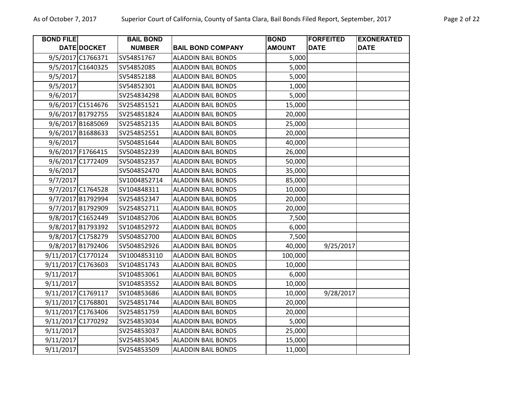| <b>BOND FILE</b>   |                    | <b>BAIL BOND</b> |                           | <b>BOND</b>   | <b>FORFEITED</b> | <b>EXONERATED</b> |
|--------------------|--------------------|------------------|---------------------------|---------------|------------------|-------------------|
|                    | DATE DOCKET        | <b>NUMBER</b>    | <b>BAIL BOND COMPANY</b>  | <b>AMOUNT</b> | <b>DATE</b>      | <b>DATE</b>       |
|                    | 9/5/2017 C1766371  | SV54851767       | <b>ALADDIN BAIL BONDS</b> | 5,000         |                  |                   |
|                    | 9/5/2017 C1640325  | SV54852085       | <b>ALADDIN BAIL BONDS</b> | 5,000         |                  |                   |
| 9/5/2017           |                    | SV54852188       | <b>ALADDIN BAIL BONDS</b> | 5,000         |                  |                   |
| 9/5/2017           |                    | SV54852301       | <b>ALADDIN BAIL BONDS</b> | 1,000         |                  |                   |
| 9/6/2017           |                    | SV254834298      | <b>ALADDIN BAIL BONDS</b> | 5,000         |                  |                   |
|                    | 9/6/2017 C1514676  | SV254851521      | <b>ALADDIN BAIL BONDS</b> | 15,000        |                  |                   |
|                    | 9/6/2017 B1792755  | SV254851824      | <b>ALADDIN BAIL BONDS</b> | 20,000        |                  |                   |
|                    | 9/6/2017 B1685069  | SV254852135      | <b>ALADDIN BAIL BONDS</b> | 25,000        |                  |                   |
|                    | 9/6/2017 B1688633  | SV254852551      | <b>ALADDIN BAIL BONDS</b> | 20,000        |                  |                   |
| 9/6/2017           |                    | SV504851644      | <b>ALADDIN BAIL BONDS</b> | 40,000        |                  |                   |
|                    | 9/6/2017 F1766415  | SV504852239      | <b>ALADDIN BAIL BONDS</b> | 26,000        |                  |                   |
|                    | 9/6/2017 C1772409  | SV504852357      | <b>ALADDIN BAIL BONDS</b> | 50,000        |                  |                   |
| 9/6/2017           |                    | SV504852470      | <b>ALADDIN BAIL BONDS</b> | 35,000        |                  |                   |
| 9/7/2017           |                    | SV1004852714     | <b>ALADDIN BAIL BONDS</b> | 85,000        |                  |                   |
|                    | 9/7/2017 C1764528  | SV104848311      | <b>ALADDIN BAIL BONDS</b> | 10,000        |                  |                   |
|                    | 9/7/2017 B1792994  | SV254852347      | <b>ALADDIN BAIL BONDS</b> | 20,000        |                  |                   |
|                    | 9/7/2017 B1792909  | SV254852711      | <b>ALADDIN BAIL BONDS</b> | 20,000        |                  |                   |
|                    | 9/8/2017 C1652449  | SV104852706      | <b>ALADDIN BAIL BONDS</b> | 7,500         |                  |                   |
|                    | 9/8/2017 B1793392  | SV104852972      | <b>ALADDIN BAIL BONDS</b> | 6,000         |                  |                   |
|                    | 9/8/2017 C1758279  | SV504852700      | <b>ALADDIN BAIL BONDS</b> | 7,500         |                  |                   |
|                    | 9/8/2017 B1792406  | SV504852926      | <b>ALADDIN BAIL BONDS</b> | 40,000        | 9/25/2017        |                   |
|                    | 9/11/2017 C1770124 | SV1004853110     | <b>ALADDIN BAIL BONDS</b> | 100,000       |                  |                   |
| 9/11/2017 C1763603 |                    | SV104851743      | <b>ALADDIN BAIL BONDS</b> | 10,000        |                  |                   |
| 9/11/2017          |                    | SV104853061      | <b>ALADDIN BAIL BONDS</b> | 6,000         |                  |                   |
| 9/11/2017          |                    | SV104853552      | <b>ALADDIN BAIL BONDS</b> | 10,000        |                  |                   |
|                    | 9/11/2017 C1769117 | SV104853686      | <b>ALADDIN BAIL BONDS</b> | 10,000        | 9/28/2017        |                   |
| 9/11/2017 C1768801 |                    | SV254851744      | <b>ALADDIN BAIL BONDS</b> | 20,000        |                  |                   |
|                    | 9/11/2017 C1763406 | SV254851759      | <b>ALADDIN BAIL BONDS</b> | 20,000        |                  |                   |
|                    | 9/11/2017 C1770292 | SV254853034      | <b>ALADDIN BAIL BONDS</b> | 5,000         |                  |                   |
| 9/11/2017          |                    | SV254853037      | <b>ALADDIN BAIL BONDS</b> | 25,000        |                  |                   |
| 9/11/2017          |                    | SV254853045      | <b>ALADDIN BAIL BONDS</b> | 15,000        |                  |                   |
| 9/11/2017          |                    | SV254853509      | <b>ALADDIN BAIL BONDS</b> | 11,000        |                  |                   |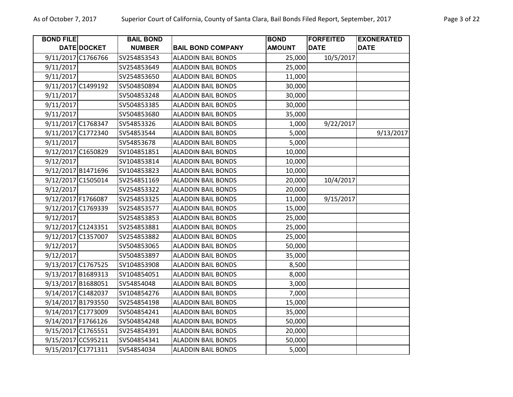| <b>BOND FILE</b>   |             | <b>BAIL BOND</b> |                           | <b>BOND</b>   | <b>FORFEITED</b> | <b>EXONERATED</b> |
|--------------------|-------------|------------------|---------------------------|---------------|------------------|-------------------|
|                    | DATE DOCKET | <b>NUMBER</b>    | <b>BAIL BOND COMPANY</b>  | <b>AMOUNT</b> | <b>DATE</b>      | <b>DATE</b>       |
| 9/11/2017 C1766766 |             | SV254853543      | <b>ALADDIN BAIL BONDS</b> | 25,000        | 10/5/2017        |                   |
| 9/11/2017          |             | SV254853649      | <b>ALADDIN BAIL BONDS</b> | 25,000        |                  |                   |
| 9/11/2017          |             | SV254853650      | <b>ALADDIN BAIL BONDS</b> | 11,000        |                  |                   |
| 9/11/2017 C1499192 |             | SV504850894      | <b>ALADDIN BAIL BONDS</b> | 30,000        |                  |                   |
| 9/11/2017          |             | SV504853248      | <b>ALADDIN BAIL BONDS</b> | 30,000        |                  |                   |
| 9/11/2017          |             | SV504853385      | <b>ALADDIN BAIL BONDS</b> | 30,000        |                  |                   |
| 9/11/2017          |             | SV504853680      | <b>ALADDIN BAIL BONDS</b> | 35,000        |                  |                   |
| 9/11/2017 C1768347 |             | SV54853326       | <b>ALADDIN BAIL BONDS</b> | 1,000         | 9/22/2017        |                   |
| 9/11/2017 C1772340 |             | SV54853544       | <b>ALADDIN BAIL BONDS</b> | 5,000         |                  | 9/13/2017         |
| 9/11/2017          |             | SV54853678       | <b>ALADDIN BAIL BONDS</b> | 5,000         |                  |                   |
| 9/12/2017 C1650829 |             | SV104851851      | <b>ALADDIN BAIL BONDS</b> | 10,000        |                  |                   |
| 9/12/2017          |             | SV104853814      | <b>ALADDIN BAIL BONDS</b> | 10,000        |                  |                   |
| 9/12/2017 B1471696 |             | SV104853823      | <b>ALADDIN BAIL BONDS</b> | 10,000        |                  |                   |
| 9/12/2017 C1505014 |             | SV254851169      | <b>ALADDIN BAIL BONDS</b> | 20,000        | 10/4/2017        |                   |
| 9/12/2017          |             | SV254853322      | <b>ALADDIN BAIL BONDS</b> | 20,000        |                  |                   |
| 9/12/2017 F1766087 |             | SV254853325      | <b>ALADDIN BAIL BONDS</b> | 11,000        | 9/15/2017        |                   |
| 9/12/2017 C1769339 |             | SV254853577      | <b>ALADDIN BAIL BONDS</b> | 15,000        |                  |                   |
| 9/12/2017          |             | SV254853853      | <b>ALADDIN BAIL BONDS</b> | 25,000        |                  |                   |
| 9/12/2017 C1243351 |             | SV254853881      | <b>ALADDIN BAIL BONDS</b> | 25,000        |                  |                   |
| 9/12/2017 C1357007 |             | SV254853882      | <b>ALADDIN BAIL BONDS</b> | 25,000        |                  |                   |
| 9/12/2017          |             | SV504853065      | <b>ALADDIN BAIL BONDS</b> | 50,000        |                  |                   |
| 9/12/2017          |             | SV504853897      | <b>ALADDIN BAIL BONDS</b> | 35,000        |                  |                   |
| 9/13/2017 C1767525 |             | SV104853908      | <b>ALADDIN BAIL BONDS</b> | 8,500         |                  |                   |
| 9/13/2017 B1689313 |             | SV104854051      | <b>ALADDIN BAIL BONDS</b> | 8,000         |                  |                   |
| 9/13/2017 B1688051 |             | SV54854048       | <b>ALADDIN BAIL BONDS</b> | 3,000         |                  |                   |
| 9/14/2017 C1482037 |             | SV104854276      | <b>ALADDIN BAIL BONDS</b> | 7,000         |                  |                   |
| 9/14/2017 B1793550 |             | SV254854198      | <b>ALADDIN BAIL BONDS</b> | 15,000        |                  |                   |
| 9/14/2017 C1773009 |             | SV504854241      | <b>ALADDIN BAIL BONDS</b> | 35,000        |                  |                   |
| 9/14/2017 F1766126 |             | SV504854248      | <b>ALADDIN BAIL BONDS</b> | 50,000        |                  |                   |
| 9/15/2017 C1765551 |             | SV254854391      | <b>ALADDIN BAIL BONDS</b> | 20,000        |                  |                   |
| 9/15/2017 CC595211 |             | SV504854341      | <b>ALADDIN BAIL BONDS</b> | 50,000        |                  |                   |
| 9/15/2017 C1771311 |             | SV54854034       | <b>ALADDIN BAIL BONDS</b> | 5,000         |                  |                   |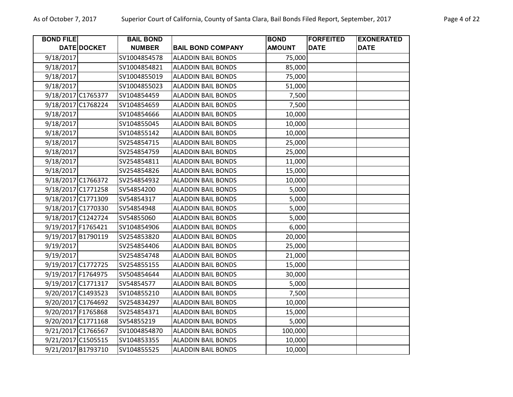| <b>BOND FILE</b>   | DATE DOCKET | <b>BAIL BOND</b><br><b>NUMBER</b> | <b>BAIL BOND COMPANY</b>  | <b>BOND</b><br><b>AMOUNT</b> | <b>FORFEITED</b><br><b>DATE</b> | <b>EXONERATED</b><br><b>DATE</b> |
|--------------------|-------------|-----------------------------------|---------------------------|------------------------------|---------------------------------|----------------------------------|
|                    |             |                                   |                           |                              |                                 |                                  |
| 9/18/2017          |             | SV1004854578                      | <b>ALADDIN BAIL BONDS</b> | 75,000                       |                                 |                                  |
| 9/18/2017          |             | SV1004854821                      | <b>ALADDIN BAIL BONDS</b> | 85,000                       |                                 |                                  |
| 9/18/2017          |             | SV1004855019                      | <b>ALADDIN BAIL BONDS</b> | 75,000                       |                                 |                                  |
| 9/18/2017          |             | SV1004855023                      | <b>ALADDIN BAIL BONDS</b> | 51,000                       |                                 |                                  |
| 9/18/2017 C1765377 |             | SV104854459                       | <b>ALADDIN BAIL BONDS</b> | 7,500                        |                                 |                                  |
| 9/18/2017 C1768224 |             | SV104854659                       | <b>ALADDIN BAIL BONDS</b> | 7,500                        |                                 |                                  |
| 9/18/2017          |             | SV104854666                       | <b>ALADDIN BAIL BONDS</b> | 10,000                       |                                 |                                  |
| 9/18/2017          |             | SV104855045                       | <b>ALADDIN BAIL BONDS</b> | 10,000                       |                                 |                                  |
| 9/18/2017          |             | SV104855142                       | <b>ALADDIN BAIL BONDS</b> | 10,000                       |                                 |                                  |
| 9/18/2017          |             | SV254854715                       | <b>ALADDIN BAIL BONDS</b> | 25,000                       |                                 |                                  |
| 9/18/2017          |             | SV254854759                       | <b>ALADDIN BAIL BONDS</b> | 25,000                       |                                 |                                  |
| 9/18/2017          |             | SV254854811                       | <b>ALADDIN BAIL BONDS</b> | 11,000                       |                                 |                                  |
| 9/18/2017          |             | SV254854826                       | <b>ALADDIN BAIL BONDS</b> | 15,000                       |                                 |                                  |
| 9/18/2017 C1766372 |             | SV254854932                       | <b>ALADDIN BAIL BONDS</b> | 10,000                       |                                 |                                  |
| 9/18/2017 C1771258 |             | SV54854200                        | <b>ALADDIN BAIL BONDS</b> | 5,000                        |                                 |                                  |
| 9/18/2017 C1771309 |             | SV54854317                        | <b>ALADDIN BAIL BONDS</b> | 5,000                        |                                 |                                  |
| 9/18/2017 C1770330 |             | SV54854948                        | <b>ALADDIN BAIL BONDS</b> | 5,000                        |                                 |                                  |
| 9/18/2017 C1242724 |             | SV54855060                        | <b>ALADDIN BAIL BONDS</b> | 5,000                        |                                 |                                  |
| 9/19/2017 F1765421 |             | SV104854906                       | <b>ALADDIN BAIL BONDS</b> | 6,000                        |                                 |                                  |
| 9/19/2017 B1790119 |             | SV254853820                       | <b>ALADDIN BAIL BONDS</b> | 20,000                       |                                 |                                  |
| 9/19/2017          |             | SV254854406                       | <b>ALADDIN BAIL BONDS</b> | 25,000                       |                                 |                                  |
| 9/19/2017          |             | SV254854748                       | <b>ALADDIN BAIL BONDS</b> | 21,000                       |                                 |                                  |
| 9/19/2017 C1772725 |             | SV254855155                       | <b>ALADDIN BAIL BONDS</b> | 15,000                       |                                 |                                  |
| 9/19/2017 F1764975 |             | SV504854644                       | <b>ALADDIN BAIL BONDS</b> | 30,000                       |                                 |                                  |
| 9/19/2017 C1771317 |             | SV54854577                        | <b>ALADDIN BAIL BONDS</b> | 5,000                        |                                 |                                  |
| 9/20/2017 C1493523 |             | SV104855210                       | <b>ALADDIN BAIL BONDS</b> | 7,500                        |                                 |                                  |
| 9/20/2017 C1764692 |             | SV254834297                       | <b>ALADDIN BAIL BONDS</b> | 10,000                       |                                 |                                  |
| 9/20/2017 F1765868 |             | SV254854371                       | <b>ALADDIN BAIL BONDS</b> | 15,000                       |                                 |                                  |
| 9/20/2017 C1771168 |             | SV54855219                        | <b>ALADDIN BAIL BONDS</b> | 5,000                        |                                 |                                  |
| 9/21/2017 C1766567 |             | SV1004854870                      | <b>ALADDIN BAIL BONDS</b> | 100,000                      |                                 |                                  |
| 9/21/2017 C1505515 |             | SV104853355                       | <b>ALADDIN BAIL BONDS</b> | 10,000                       |                                 |                                  |
| 9/21/2017 B1793710 |             | SV104855525                       | <b>ALADDIN BAIL BONDS</b> | 10,000                       |                                 |                                  |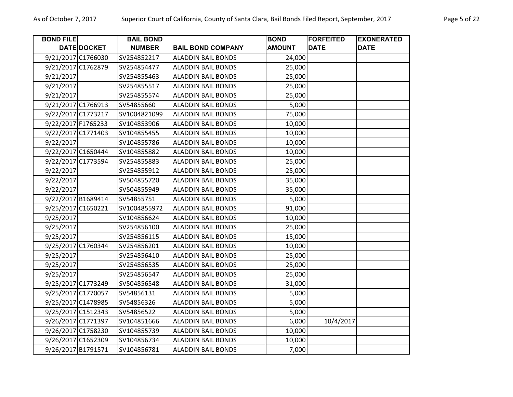| <b>BOND FILE</b>   |             | <b>BAIL BOND</b> |                           | <b>BOND</b>   | <b>FORFEITED</b> | <b>EXONERATED</b> |
|--------------------|-------------|------------------|---------------------------|---------------|------------------|-------------------|
|                    | DATE DOCKET | <b>NUMBER</b>    | <b>BAIL BOND COMPANY</b>  | <b>AMOUNT</b> | <b>DATE</b>      | <b>DATE</b>       |
| 9/21/2017 C1766030 |             | SV254852217      | <b>ALADDIN BAIL BONDS</b> | 24,000        |                  |                   |
| 9/21/2017 C1762879 |             | SV254854477      | <b>ALADDIN BAIL BONDS</b> | 25,000        |                  |                   |
| 9/21/2017          |             | SV254855463      | <b>ALADDIN BAIL BONDS</b> | 25,000        |                  |                   |
| 9/21/2017          |             | SV254855517      | <b>ALADDIN BAIL BONDS</b> | 25,000        |                  |                   |
| 9/21/2017          |             | SV254855574      | <b>ALADDIN BAIL BONDS</b> | 25,000        |                  |                   |
| 9/21/2017 C1766913 |             | SV54855660       | <b>ALADDIN BAIL BONDS</b> | 5,000         |                  |                   |
| 9/22/2017 C1773217 |             | SV1004821099     | <b>ALADDIN BAIL BONDS</b> | 75,000        |                  |                   |
| 9/22/2017 F1765233 |             | SV104853906      | <b>ALADDIN BAIL BONDS</b> | 10,000        |                  |                   |
| 9/22/2017 C1771403 |             | SV104855455      | <b>ALADDIN BAIL BONDS</b> | 10,000        |                  |                   |
| 9/22/2017          |             | SV104855786      | <b>ALADDIN BAIL BONDS</b> | 10,000        |                  |                   |
| 9/22/2017 C1650444 |             | SV104855882      | <b>ALADDIN BAIL BONDS</b> | 10,000        |                  |                   |
| 9/22/2017 C1773594 |             | SV254855883      | <b>ALADDIN BAIL BONDS</b> | 25,000        |                  |                   |
| 9/22/2017          |             | SV254855912      | <b>ALADDIN BAIL BONDS</b> | 25,000        |                  |                   |
| 9/22/2017          |             | SV504855720      | <b>ALADDIN BAIL BONDS</b> | 35,000        |                  |                   |
| 9/22/2017          |             | SV504855949      | <b>ALADDIN BAIL BONDS</b> | 35,000        |                  |                   |
| 9/22/2017 B1689414 |             | SV54855751       | <b>ALADDIN BAIL BONDS</b> | 5,000         |                  |                   |
| 9/25/2017 C1650221 |             | SV1004855972     | <b>ALADDIN BAIL BONDS</b> | 91,000        |                  |                   |
| 9/25/2017          |             | SV104856624      | <b>ALADDIN BAIL BONDS</b> | 10,000        |                  |                   |
| 9/25/2017          |             | SV254856100      | <b>ALADDIN BAIL BONDS</b> | 25,000        |                  |                   |
| 9/25/2017          |             | SV254856115      | <b>ALADDIN BAIL BONDS</b> | 15,000        |                  |                   |
| 9/25/2017 C1760344 |             | SV254856201      | <b>ALADDIN BAIL BONDS</b> | 10,000        |                  |                   |
| 9/25/2017          |             | SV254856410      | <b>ALADDIN BAIL BONDS</b> | 25,000        |                  |                   |
| 9/25/2017          |             | SV254856535      | <b>ALADDIN BAIL BONDS</b> | 25,000        |                  |                   |
| 9/25/2017          |             | SV254856547      | <b>ALADDIN BAIL BONDS</b> | 25,000        |                  |                   |
| 9/25/2017 C1773249 |             | SV504856548      | <b>ALADDIN BAIL BONDS</b> | 31,000        |                  |                   |
| 9/25/2017 C1770057 |             | SV54856131       | <b>ALADDIN BAIL BONDS</b> | 5,000         |                  |                   |
| 9/25/2017 C1478985 |             | SV54856326       | <b>ALADDIN BAIL BONDS</b> | 5,000         |                  |                   |
| 9/25/2017 C1512343 |             | SV54856522       | <b>ALADDIN BAIL BONDS</b> | 5,000         |                  |                   |
| 9/26/2017 C1771397 |             | SV104851666      | <b>ALADDIN BAIL BONDS</b> | 6,000         | 10/4/2017        |                   |
| 9/26/2017 C1758230 |             | SV104855739      | <b>ALADDIN BAIL BONDS</b> | 10,000        |                  |                   |
| 9/26/2017 C1652309 |             | SV104856734      | <b>ALADDIN BAIL BONDS</b> | 10,000        |                  |                   |
| 9/26/2017 B1791571 |             | SV104856781      | <b>ALADDIN BAIL BONDS</b> | 7,000         |                  |                   |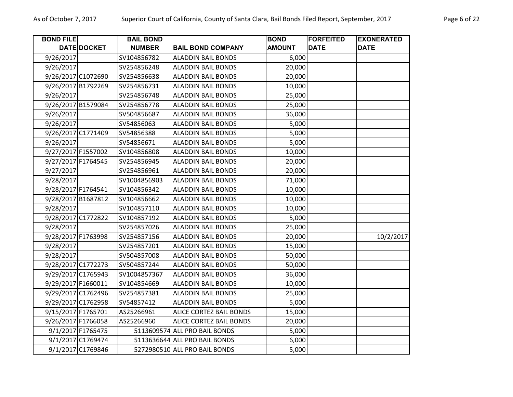| <b>BOND FILE</b>   | DATE DOCKET       | <b>BAIL BOND</b><br><b>NUMBER</b> | <b>BAIL BOND COMPANY</b>      | <b>BOND</b><br><b>AMOUNT</b> | <b>FORFEITED</b><br><b>DATE</b> | <b>EXONERATED</b><br><b>DATE</b> |
|--------------------|-------------------|-----------------------------------|-------------------------------|------------------------------|---------------------------------|----------------------------------|
| 9/26/2017          |                   | SV104856782                       | <b>ALADDIN BAIL BONDS</b>     | 6,000                        |                                 |                                  |
| 9/26/2017          |                   | SV254856248                       | <b>ALADDIN BAIL BONDS</b>     | 20,000                       |                                 |                                  |
| 9/26/2017 C1072690 |                   | SV254856638                       | <b>ALADDIN BAIL BONDS</b>     | 20,000                       |                                 |                                  |
| 9/26/2017 B1792269 |                   | SV254856731                       | <b>ALADDIN BAIL BONDS</b>     | 10,000                       |                                 |                                  |
| 9/26/2017          |                   | SV254856748                       | <b>ALADDIN BAIL BONDS</b>     | 25,000                       |                                 |                                  |
| 9/26/2017 B1579084 |                   | SV254856778                       | <b>ALADDIN BAIL BONDS</b>     | 25,000                       |                                 |                                  |
| 9/26/2017          |                   | SV504856687                       | <b>ALADDIN BAIL BONDS</b>     | 36,000                       |                                 |                                  |
| 9/26/2017          |                   | SV54856063                        | <b>ALADDIN BAIL BONDS</b>     | 5,000                        |                                 |                                  |
| 9/26/2017 C1771409 |                   | SV54856388                        | <b>ALADDIN BAIL BONDS</b>     | 5,000                        |                                 |                                  |
| 9/26/2017          |                   | SV54856671                        | <b>ALADDIN BAIL BONDS</b>     | 5,000                        |                                 |                                  |
| 9/27/2017 F1557002 |                   | SV104856808                       | <b>ALADDIN BAIL BONDS</b>     | 10,000                       |                                 |                                  |
| 9/27/2017 F1764545 |                   | SV254856945                       | <b>ALADDIN BAIL BONDS</b>     | 20,000                       |                                 |                                  |
| 9/27/2017          |                   | SV254856961                       | <b>ALADDIN BAIL BONDS</b>     | 20,000                       |                                 |                                  |
| 9/28/2017          |                   | SV1004856903                      | <b>ALADDIN BAIL BONDS</b>     | 71,000                       |                                 |                                  |
| 9/28/2017 F1764541 |                   | SV104856342                       | <b>ALADDIN BAIL BONDS</b>     | 10,000                       |                                 |                                  |
| 9/28/2017 B1687812 |                   | SV104856662                       | <b>ALADDIN BAIL BONDS</b>     | 10,000                       |                                 |                                  |
| 9/28/2017          |                   | SV104857110                       | <b>ALADDIN BAIL BONDS</b>     | 10,000                       |                                 |                                  |
| 9/28/2017 C1772822 |                   | SV104857192                       | <b>ALADDIN BAIL BONDS</b>     | 5,000                        |                                 |                                  |
| 9/28/2017          |                   | SV254857026                       | <b>ALADDIN BAIL BONDS</b>     | 25,000                       |                                 |                                  |
| 9/28/2017 F1763998 |                   | SV254857156                       | <b>ALADDIN BAIL BONDS</b>     | 20,000                       |                                 | 10/2/2017                        |
| 9/28/2017          |                   | SV254857201                       | <b>ALADDIN BAIL BONDS</b>     | 15,000                       |                                 |                                  |
| 9/28/2017          |                   | SV504857008                       | <b>ALADDIN BAIL BONDS</b>     | 50,000                       |                                 |                                  |
| 9/28/2017 C1772273 |                   | SV504857244                       | <b>ALADDIN BAIL BONDS</b>     | 50,000                       |                                 |                                  |
| 9/29/2017 C1765943 |                   | SV1004857367                      | <b>ALADDIN BAIL BONDS</b>     | 36,000                       |                                 |                                  |
| 9/29/2017 F1660011 |                   | SV104854669                       | <b>ALADDIN BAIL BONDS</b>     | 10,000                       |                                 |                                  |
| 9/29/2017 C1762496 |                   | SV254857381                       | <b>ALADDIN BAIL BONDS</b>     | 25,000                       |                                 |                                  |
| 9/29/2017 C1762958 |                   | SV54857412                        | <b>ALADDIN BAIL BONDS</b>     | 5,000                        |                                 |                                  |
| 9/15/2017 F1765701 |                   | AS25266961                        | ALICE CORTEZ BAIL BONDS       | 15,000                       |                                 |                                  |
| 9/26/2017 F1766058 |                   | AS25266960                        | ALICE CORTEZ BAIL BONDS       | 20,000                       |                                 |                                  |
|                    | 9/1/2017 F1765475 |                                   | 5113609574 ALL PRO BAIL BONDS | 5,000                        |                                 |                                  |
|                    | 9/1/2017 C1769474 |                                   | 5113636644 ALL PRO BAIL BONDS | 6,000                        |                                 |                                  |
|                    | 9/1/2017 C1769846 |                                   | 5272980510 ALL PRO BAIL BONDS | 5,000                        |                                 |                                  |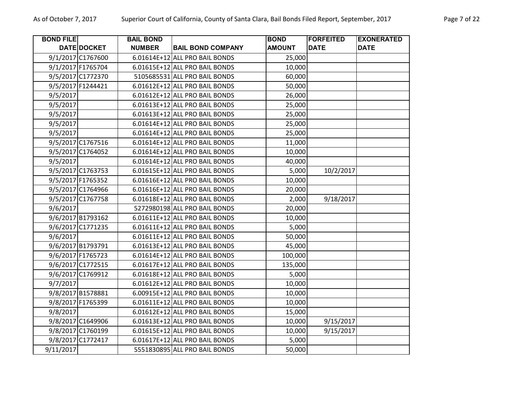| <b>BOND FILE</b> |                   | <b>BAIL BOND</b> |                                | <b>BOND</b>   | <b>FORFEITED</b> | <b>EXONERATED</b> |
|------------------|-------------------|------------------|--------------------------------|---------------|------------------|-------------------|
|                  | DATE DOCKET       | <b>NUMBER</b>    | <b>BAIL BOND COMPANY</b>       | <b>AMOUNT</b> | <b>DATE</b>      | <b>DATE</b>       |
|                  | 9/1/2017 C1767600 |                  | 6.01614E+12 ALL PRO BAIL BONDS | 25,000        |                  |                   |
|                  | 9/1/2017 F1765704 |                  | 6.01615E+12 ALL PRO BAIL BONDS | 10,000        |                  |                   |
|                  | 9/5/2017 C1772370 |                  | 5105685531 ALL PRO BAIL BONDS  | 60,000        |                  |                   |
|                  | 9/5/2017 F1244421 |                  | 6.01612E+12 ALL PRO BAIL BONDS | 50,000        |                  |                   |
| 9/5/2017         |                   |                  | 6.01612E+12 ALL PRO BAIL BONDS | 26,000        |                  |                   |
| 9/5/2017         |                   |                  | 6.01613E+12 ALL PRO BAIL BONDS | 25,000        |                  |                   |
| 9/5/2017         |                   |                  | 6.01613E+12 ALL PRO BAIL BONDS | 25,000        |                  |                   |
| 9/5/2017         |                   |                  | 6.01614E+12 ALL PRO BAIL BONDS | 25,000        |                  |                   |
| 9/5/2017         |                   |                  | 6.01614E+12 ALL PRO BAIL BONDS | 25,000        |                  |                   |
|                  | 9/5/2017 C1767516 |                  | 6.01614E+12 ALL PRO BAIL BONDS | 11,000        |                  |                   |
|                  | 9/5/2017 C1764052 |                  | 6.01614E+12 ALL PRO BAIL BONDS | 10,000        |                  |                   |
| 9/5/2017         |                   |                  | 6.01614E+12 ALL PRO BAIL BONDS | 40,000        |                  |                   |
|                  | 9/5/2017 C1763753 |                  | 6.01615E+12 ALL PRO BAIL BONDS | 5,000         | 10/2/2017        |                   |
|                  | 9/5/2017 F1765352 |                  | 6.01616E+12 ALL PRO BAIL BONDS | 10,000        |                  |                   |
|                  | 9/5/2017 C1764966 |                  | 6.01616E+12 ALL PRO BAIL BONDS | 20,000        |                  |                   |
|                  | 9/5/2017 C1767758 |                  | 6.01618E+12 ALL PRO BAIL BONDS | 2,000         | 9/18/2017        |                   |
| 9/6/2017         |                   |                  | 5272980198 ALL PRO BAIL BONDS  | 20,000        |                  |                   |
|                  | 9/6/2017 B1793162 |                  | 6.01611E+12 ALL PRO BAIL BONDS | 10,000        |                  |                   |
|                  | 9/6/2017 C1771235 |                  | 6.01611E+12 ALL PRO BAIL BONDS | 5,000         |                  |                   |
| 9/6/2017         |                   |                  | 6.01611E+12 ALL PRO BAIL BONDS | 50,000        |                  |                   |
|                  | 9/6/2017 B1793791 |                  | 6.01613E+12 ALL PRO BAIL BONDS | 45,000        |                  |                   |
|                  | 9/6/2017 F1765723 |                  | 6.01614E+12 ALL PRO BAIL BONDS | 100,000       |                  |                   |
|                  | 9/6/2017 C1772515 |                  | 6.01617E+12 ALL PRO BAIL BONDS | 135,000       |                  |                   |
|                  | 9/6/2017 C1769912 |                  | 6.01618E+12 ALL PRO BAIL BONDS | 5,000         |                  |                   |
| 9/7/2017         |                   |                  | 6.01612E+12 ALL PRO BAIL BONDS | 10,000        |                  |                   |
|                  | 9/8/2017 B1578881 |                  | 6.00915E+12 ALL PRO BAIL BONDS | 10,000        |                  |                   |
|                  | 9/8/2017 F1765399 |                  | 6.01611E+12 ALL PRO BAIL BONDS | 10,000        |                  |                   |
| 9/8/2017         |                   |                  | 6.01612E+12 ALL PRO BAIL BONDS | 15,000        |                  |                   |
|                  | 9/8/2017 C1649906 |                  | 6.01613E+12 ALL PRO BAIL BONDS | 10,000        | 9/15/2017        |                   |
|                  | 9/8/2017 C1760199 |                  | 6.01615E+12 ALL PRO BAIL BONDS | 10,000        | 9/15/2017        |                   |
|                  | 9/8/2017 C1772417 |                  | 6.01617E+12 ALL PRO BAIL BONDS | 5,000         |                  |                   |
| 9/11/2017        |                   |                  | 5551830895 ALL PRO BAIL BONDS  | 50,000        |                  |                   |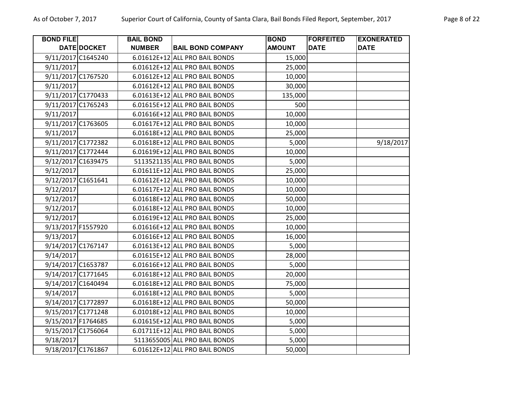| <b>BOND FILE</b>   | <b>DATE DOCKET</b> | <b>BAIL BOND</b><br><b>NUMBER</b> | <b>BAIL BOND COMPANY</b>       | <b>BOND</b><br><b>AMOUNT</b> | <b>FORFEITED</b><br><b>DATE</b> | <b>EXONERATED</b><br><b>DATE</b> |
|--------------------|--------------------|-----------------------------------|--------------------------------|------------------------------|---------------------------------|----------------------------------|
| 9/11/2017 C1645240 |                    |                                   | 6.01612E+12 ALL PRO BAIL BONDS | 15,000                       |                                 |                                  |
| 9/11/2017          |                    |                                   | 6.01612E+12 ALL PRO BAIL BONDS | 25,000                       |                                 |                                  |
| 9/11/2017 C1767520 |                    |                                   | 6.01612E+12 ALL PRO BAIL BONDS | 10,000                       |                                 |                                  |
| 9/11/2017          |                    |                                   | 6.01612E+12 ALL PRO BAIL BONDS | 30,000                       |                                 |                                  |
| 9/11/2017 C1770433 |                    |                                   | 6.01613E+12 ALL PRO BAIL BONDS | 135,000                      |                                 |                                  |
| 9/11/2017 C1765243 |                    |                                   | 6.01615E+12 ALL PRO BAIL BONDS | 500                          |                                 |                                  |
| 9/11/2017          |                    |                                   | 6.01616E+12 ALL PRO BAIL BONDS | 10,000                       |                                 |                                  |
| 9/11/2017 C1763605 |                    |                                   | 6.01617E+12 ALL PRO BAIL BONDS | 10,000                       |                                 |                                  |
| 9/11/2017          |                    |                                   | 6.01618E+12 ALL PRO BAIL BONDS | 25,000                       |                                 |                                  |
| 9/11/2017 C1772382 |                    |                                   | 6.01618E+12 ALL PRO BAIL BONDS | 5,000                        |                                 | 9/18/2017                        |
| 9/11/2017 C1772444 |                    |                                   | 6.01619E+12 ALL PRO BAIL BONDS | 10,000                       |                                 |                                  |
| 9/12/2017 C1639475 |                    |                                   | 5113521135 ALL PRO BAIL BONDS  | 5,000                        |                                 |                                  |
| 9/12/2017          |                    |                                   | 6.01611E+12 ALL PRO BAIL BONDS | 25,000                       |                                 |                                  |
| 9/12/2017 C1651641 |                    |                                   | 6.01612E+12 ALL PRO BAIL BONDS | 10,000                       |                                 |                                  |
| 9/12/2017          |                    |                                   | 6.01617E+12 ALL PRO BAIL BONDS | 10,000                       |                                 |                                  |
| 9/12/2017          |                    |                                   | 6.01618E+12 ALL PRO BAIL BONDS | 50,000                       |                                 |                                  |
| 9/12/2017          |                    |                                   | 6.01618E+12 ALL PRO BAIL BONDS | 10,000                       |                                 |                                  |
| 9/12/2017          |                    |                                   | 6.01619E+12 ALL PRO BAIL BONDS | 25,000                       |                                 |                                  |
| 9/13/2017 F1557920 |                    |                                   | 6.01616E+12 ALL PRO BAIL BONDS | 10,000                       |                                 |                                  |
| 9/13/2017          |                    |                                   | 6.01616E+12 ALL PRO BAIL BONDS | 16,000                       |                                 |                                  |
| 9/14/2017 C1767147 |                    |                                   | 6.01613E+12 ALL PRO BAIL BONDS | 5,000                        |                                 |                                  |
| 9/14/2017          |                    |                                   | 6.01615E+12 ALL PRO BAIL BONDS | 28,000                       |                                 |                                  |
| 9/14/2017 C1653787 |                    |                                   | 6.01616E+12 ALL PRO BAIL BONDS | 5,000                        |                                 |                                  |
| 9/14/2017 C1771645 |                    |                                   | 6.01618E+12 ALL PRO BAIL BONDS | 20,000                       |                                 |                                  |
| 9/14/2017 C1640494 |                    |                                   | 6.01618E+12 ALL PRO BAIL BONDS | 75,000                       |                                 |                                  |
| 9/14/2017          |                    |                                   | 6.01618E+12 ALL PRO BAIL BONDS | 5,000                        |                                 |                                  |
| 9/14/2017 C1772897 |                    |                                   | 6.01618E+12 ALL PRO BAIL BONDS | 50,000                       |                                 |                                  |
| 9/15/2017 C1771248 |                    |                                   | 6.01018E+12 ALL PRO BAIL BONDS | 10,000                       |                                 |                                  |
| 9/15/2017 F1764685 |                    |                                   | 6.01615E+12 ALL PRO BAIL BONDS | 5,000                        |                                 |                                  |
| 9/15/2017 C1756064 |                    |                                   | 6.01711E+12 ALL PRO BAIL BONDS | 5,000                        |                                 |                                  |
| 9/18/2017          |                    |                                   | 5113655005 ALL PRO BAIL BONDS  | 5,000                        |                                 |                                  |
| 9/18/2017 C1761867 |                    |                                   | 6.01612E+12 ALL PRO BAIL BONDS | 50,000                       |                                 |                                  |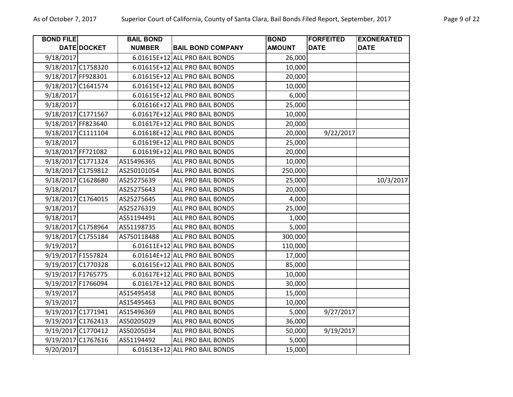| <b>BOND FILE</b>   |             | <b>BAIL BOND</b> |                                | <b>BOND</b>   | <b>FORFEITED</b> | <b>EXONERATED</b> |
|--------------------|-------------|------------------|--------------------------------|---------------|------------------|-------------------|
|                    | DATE DOCKET | <b>NUMBER</b>    | <b>BAIL BOND COMPANY</b>       | <b>AMOUNT</b> | <b>DATE</b>      | <b>DATE</b>       |
| 9/18/2017          |             |                  | 6.01615E+12 ALL PRO BAIL BONDS | 26,000        |                  |                   |
| 9/18/2017 C1758320 |             |                  | 6.01615E+12 ALL PRO BAIL BONDS | 10,000        |                  |                   |
| 9/18/2017 FF928301 |             |                  | 6.01615E+12 ALL PRO BAIL BONDS | 20,000        |                  |                   |
| 9/18/2017 C1641574 |             |                  | 6.01615E+12 ALL PRO BAIL BONDS | 10,000        |                  |                   |
| 9/18/2017          |             |                  | 6.01615E+12 ALL PRO BAIL BONDS | 6,000         |                  |                   |
| 9/18/2017          |             |                  | 6.01616E+12 ALL PRO BAIL BONDS | 25,000        |                  |                   |
| 9/18/2017 C1771567 |             |                  | 6.01617E+12 ALL PRO BAIL BONDS | 10,000        |                  |                   |
| 9/18/2017 FF823640 |             |                  | 6.01617E+12 ALL PRO BAIL BONDS | 20,000        |                  |                   |
| 9/18/2017 C1111104 |             |                  | 6.01618E+12 ALL PRO BAIL BONDS | 20,000        | 9/22/2017        |                   |
| 9/18/2017          |             |                  | 6.01619E+12 ALL PRO BAIL BONDS | 25,000        |                  |                   |
| 9/18/2017 FF721082 |             |                  | 6.01619E+12 ALL PRO BAIL BONDS | 20,000        |                  |                   |
| 9/18/2017 C1771324 |             | AS15496365       | ALL PRO BAIL BONDS             | 10,000        |                  |                   |
| 9/18/2017 C1759812 |             | AS250101054      | ALL PRO BAIL BONDS             | 250,000       |                  |                   |
| 9/18/2017 C1628680 |             | AS25275639       | ALL PRO BAIL BONDS             | 25,000        |                  | 10/3/2017         |
| 9/18/2017          |             | AS25275643       | ALL PRO BAIL BONDS             | 20,000        |                  |                   |
| 9/18/2017 C1764015 |             | AS25275645       | ALL PRO BAIL BONDS             | 4,000         |                  |                   |
| 9/18/2017          |             | AS25276319       | ALL PRO BAIL BONDS             | 25,000        |                  |                   |
| 9/18/2017          |             | AS51194491       | ALL PRO BAIL BONDS             | 1,000         |                  |                   |
| 9/18/2017 C1758964 |             | AS51198735       | ALL PRO BAIL BONDS             | 5,000         |                  |                   |
| 9/18/2017 C1755184 |             | AS750118488      | ALL PRO BAIL BONDS             | 300,000       |                  |                   |
| 9/19/2017          |             |                  | 6.01611E+12 ALL PRO BAIL BONDS | 110,000       |                  |                   |
| 9/19/2017 F1557824 |             |                  | 6.01614E+12 ALL PRO BAIL BONDS | 17,000        |                  |                   |
| 9/19/2017 C1770328 |             |                  | 6.01615E+12 ALL PRO BAIL BONDS | 85,000        |                  |                   |
| 9/19/2017 F1765775 |             |                  | 6.01617E+12 ALL PRO BAIL BONDS | 10,000        |                  |                   |
| 9/19/2017 F1766094 |             |                  | 6.01617E+12 ALL PRO BAIL BONDS | 30,000        |                  |                   |
| 9/19/2017          |             | AS15495458       | ALL PRO BAIL BONDS             | 15,000        |                  |                   |
| 9/19/2017          |             | AS15495463       | ALL PRO BAIL BONDS             | 10,000        |                  |                   |
| 9/19/2017 C1771941 |             | AS15496369       | ALL PRO BAIL BONDS             | 5,000         | 9/27/2017        |                   |
| 9/19/2017 C1762413 |             | AS50205029       | ALL PRO BAIL BONDS             | 36,000        |                  |                   |
| 9/19/2017 C1770412 |             | AS50205034       | ALL PRO BAIL BONDS             | 50,000        | 9/19/2017        |                   |
| 9/19/2017 C1767616 |             | AS51194492       | ALL PRO BAIL BONDS             | 5,000         |                  |                   |
| 9/20/2017          |             |                  | 6.01613E+12 ALL PRO BAIL BONDS | 15,000        |                  |                   |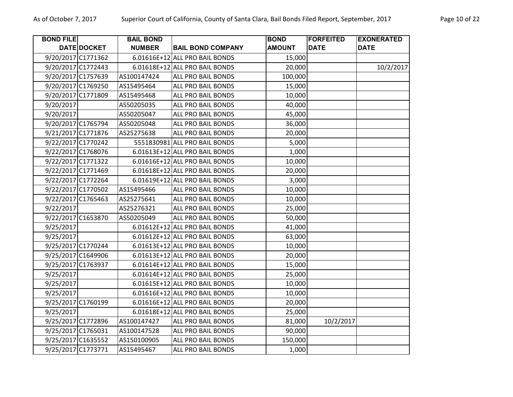| <b>BOND FILE</b>   |                    | <b>BAIL BOND</b> |                                | <b>BOND</b>   | <b>FORFEITED</b> | <b>EXONERATED</b> |
|--------------------|--------------------|------------------|--------------------------------|---------------|------------------|-------------------|
|                    | <b>DATE DOCKET</b> | <b>NUMBER</b>    | <b>BAIL BOND COMPANY</b>       | <b>AMOUNT</b> | <b>DATE</b>      | <b>DATE</b>       |
| 9/20/2017 C1771362 |                    |                  | 6.01616E+12 ALL PRO BAIL BONDS | 15,000        |                  |                   |
| 9/20/2017 C1772443 |                    |                  | 6.01618E+12 ALL PRO BAIL BONDS | 20,000        |                  | 10/2/2017         |
| 9/20/2017 C1757639 |                    | AS100147424      | ALL PRO BAIL BONDS             | 100,000       |                  |                   |
| 9/20/2017 C1769250 |                    | AS15495464       | <b>ALL PRO BAIL BONDS</b>      | 15,000        |                  |                   |
| 9/20/2017 C1771809 |                    | AS15495468       | ALL PRO BAIL BONDS             | 10,000        |                  |                   |
| 9/20/2017          |                    | AS50205035       | ALL PRO BAIL BONDS             | 40,000        |                  |                   |
| 9/20/2017          |                    | AS50205047       | ALL PRO BAIL BONDS             | 45,000        |                  |                   |
| 9/20/2017 C1765794 |                    | AS50205048       | ALL PRO BAIL BONDS             | 36,000        |                  |                   |
| 9/21/2017 C1771876 |                    | AS25275638       | ALL PRO BAIL BONDS             | 20,000        |                  |                   |
| 9/22/2017 C1770242 |                    |                  | 5551830981 ALL PRO BAIL BONDS  | 5,000         |                  |                   |
| 9/22/2017 C1768076 |                    |                  | 6.01613E+12 ALL PRO BAIL BONDS | 1,000         |                  |                   |
| 9/22/2017 C1771322 |                    |                  | 6.01616E+12 ALL PRO BAIL BONDS | 10,000        |                  |                   |
| 9/22/2017 C1771469 |                    |                  | 6.01618E+12 ALL PRO BAIL BONDS | 20,000        |                  |                   |
| 9/22/2017 C1772264 |                    |                  | 6.01619E+12 ALL PRO BAIL BONDS | 3,000         |                  |                   |
| 9/22/2017 C1770502 |                    | AS15495466       | ALL PRO BAIL BONDS             | 10,000        |                  |                   |
| 9/22/2017 C1765463 |                    | AS25275641       | ALL PRO BAIL BONDS             | 10,000        |                  |                   |
| 9/22/2017          |                    | AS25276321       | ALL PRO BAIL BONDS             | 25,000        |                  |                   |
| 9/22/2017 C1653870 |                    | AS50205049       | ALL PRO BAIL BONDS             | 50,000        |                  |                   |
| 9/25/2017          |                    |                  | 6.01612E+12 ALL PRO BAIL BONDS | 41,000        |                  |                   |
| 9/25/2017          |                    |                  | 6.01612E+12 ALL PRO BAIL BONDS | 63,000        |                  |                   |
| 9/25/2017 C1770244 |                    |                  | 6.01613E+12 ALL PRO BAIL BONDS | 10,000        |                  |                   |
| 9/25/2017 C1649906 |                    |                  | 6.01613E+12 ALL PRO BAIL BONDS | 20,000        |                  |                   |
| 9/25/2017 C1763937 |                    |                  | 6.01614E+12 ALL PRO BAIL BONDS | 15,000        |                  |                   |
| 9/25/2017          |                    |                  | 6.01614E+12 ALL PRO BAIL BONDS | 25,000        |                  |                   |
| 9/25/2017          |                    |                  | 6.01615E+12 ALL PRO BAIL BONDS | 10,000        |                  |                   |
| 9/25/2017          |                    |                  | 6.01616E+12 ALL PRO BAIL BONDS | 10,000        |                  |                   |
| 9/25/2017 C1760199 |                    |                  | 6.01616E+12 ALL PRO BAIL BONDS | 20,000        |                  |                   |
| 9/25/2017          |                    |                  | 6.01618E+12 ALL PRO BAIL BONDS | 25,000        |                  |                   |
| 9/25/2017 C1772896 |                    | AS100147427      | ALL PRO BAIL BONDS             | 81,000        | 10/2/2017        |                   |
| 9/25/2017 C1765031 |                    | AS100147528      | ALL PRO BAIL BONDS             | 90,000        |                  |                   |
| 9/25/2017 C1635552 |                    | AS150100905      | ALL PRO BAIL BONDS             | 150,000       |                  |                   |
| 9/25/2017 C1773771 |                    | AS15495467       | <b>ALL PRO BAIL BONDS</b>      | 1,000         |                  |                   |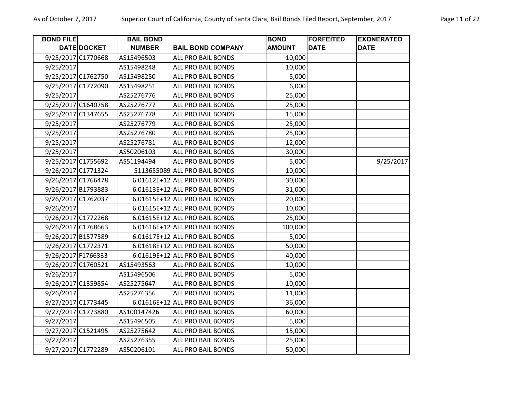| <b>BOND FILE</b>   |                    | <b>BAIL BOND</b> |                                | <b>BOND</b>   | <b>FORFEITED</b> | <b>EXONERATED</b> |
|--------------------|--------------------|------------------|--------------------------------|---------------|------------------|-------------------|
|                    | DATE DOCKET        | <b>NUMBER</b>    | <b>BAIL BOND COMPANY</b>       | <b>AMOUNT</b> | <b>DATE</b>      | <b>DATE</b>       |
|                    | 9/25/2017 C1770668 | AS15496503       | ALL PRO BAIL BONDS             | 10,000        |                  |                   |
| 9/25/2017          |                    | AS15498248       | ALL PRO BAIL BONDS             | 10,000        |                  |                   |
|                    | 9/25/2017 C1762750 | AS15498250       | ALL PRO BAIL BONDS             | 5,000         |                  |                   |
|                    | 9/25/2017 C1772090 | AS15498251       | ALL PRO BAIL BONDS             | 6,000         |                  |                   |
| 9/25/2017          |                    | AS25276776       | ALL PRO BAIL BONDS             | 25,000        |                  |                   |
|                    | 9/25/2017 C1640758 | AS25276777       | ALL PRO BAIL BONDS             | 25,000        |                  |                   |
|                    | 9/25/2017 C1347655 | AS25276778       | ALL PRO BAIL BONDS             | 15,000        |                  |                   |
| 9/25/2017          |                    | AS25276779       | ALL PRO BAIL BONDS             | 25,000        |                  |                   |
| 9/25/2017          |                    | AS25276780       | ALL PRO BAIL BONDS             | 25,000        |                  |                   |
| 9/25/2017          |                    | AS25276781       | ALL PRO BAIL BONDS             | 12,000        |                  |                   |
| 9/25/2017          |                    | AS50206103       | ALL PRO BAIL BONDS             | 30,000        |                  |                   |
|                    | 9/25/2017 C1755692 | AS51194494       | ALL PRO BAIL BONDS             | 5,000         |                  | 9/25/2017         |
|                    | 9/26/2017 C1771324 |                  | 5113655089 ALL PRO BAIL BONDS  | 10,000        |                  |                   |
|                    | 9/26/2017 C1766478 |                  | 6.01612E+12 ALL PRO BAIL BONDS | 30,000        |                  |                   |
|                    | 9/26/2017 B1793883 |                  | 6.01613E+12 ALL PRO BAIL BONDS | 31,000        |                  |                   |
|                    | 9/26/2017 C1762037 |                  | 6.01615E+12 ALL PRO BAIL BONDS | 20,000        |                  |                   |
| 9/26/2017          |                    |                  | 6.01615E+12 ALL PRO BAIL BONDS | 10,000        |                  |                   |
|                    | 9/26/2017 C1772268 |                  | 6.01615E+12 ALL PRO BAIL BONDS | 25,000        |                  |                   |
|                    | 9/26/2017 C1768663 |                  | 6.01616E+12 ALL PRO BAIL BONDS | 100,000       |                  |                   |
|                    | 9/26/2017 B1577589 |                  | 6.01617E+12 ALL PRO BAIL BONDS | 5,000         |                  |                   |
|                    | 9/26/2017 C1772371 |                  | 6.01618E+12 ALL PRO BAIL BONDS | 50,000        |                  |                   |
| 9/26/2017 F1766333 |                    |                  | 6.01619E+12 ALL PRO BAIL BONDS | 40,000        |                  |                   |
| 9/26/2017 C1760521 |                    | AS15493563       | ALL PRO BAIL BONDS             | 10,000        |                  |                   |
| 9/26/2017          |                    | AS15496506       | ALL PRO BAIL BONDS             | 5,000         |                  |                   |
|                    | 9/26/2017 C1359854 | AS25275647       | ALL PRO BAIL BONDS             | 10,000        |                  |                   |
| 9/26/2017          |                    | AS25276356       | ALL PRO BAIL BONDS             | 11,000        |                  |                   |
|                    | 9/27/2017 C1773445 |                  | 6.01616E+12 ALL PRO BAIL BONDS | 36,000        |                  |                   |
|                    | 9/27/2017 C1773880 | AS100147426      | ALL PRO BAIL BONDS             | 60,000        |                  |                   |
| 9/27/2017          |                    | AS15496505       | ALL PRO BAIL BONDS             | 5,000         |                  |                   |
| 9/27/2017 C1521495 |                    | AS25275642       | ALL PRO BAIL BONDS             | 15,000        |                  |                   |
| 9/27/2017          |                    | AS25276355       | ALL PRO BAIL BONDS             | 25,000        |                  |                   |
|                    | 9/27/2017 C1772289 | AS50206101       | ALL PRO BAIL BONDS             | 50,000        |                  |                   |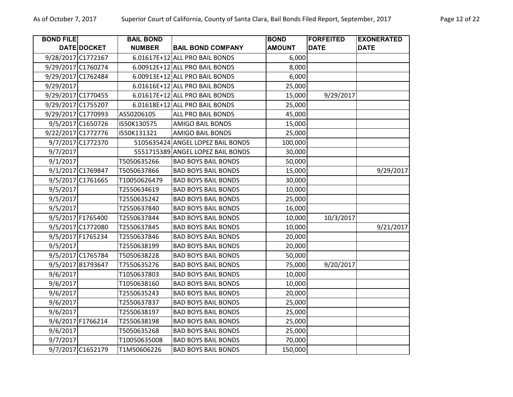| <b>BOND FILE</b> |                    | <b>BAIL BOND</b> |                                   | <b>BOND</b>   | <b>FORFEITED</b> | <b>EXONERATED</b> |
|------------------|--------------------|------------------|-----------------------------------|---------------|------------------|-------------------|
|                  | DATE DOCKET        | <b>NUMBER</b>    | <b>BAIL BOND COMPANY</b>          | <b>AMOUNT</b> | <b>DATE</b>      | <b>DATE</b>       |
|                  | 9/28/2017 C1772167 |                  | 6.01617E+12 ALL PRO BAIL BONDS    | 6,000         |                  |                   |
|                  | 9/29/2017 C1760274 |                  | 6.00912E+12 ALL PRO BAIL BONDS    | 8,000         |                  |                   |
|                  | 9/29/2017 C1762484 |                  | 6.00913E+12 ALL PRO BAIL BONDS    | 6,000         |                  |                   |
| 9/29/2017        |                    |                  | 6.01616E+12 ALL PRO BAIL BONDS    | 25,000        |                  |                   |
|                  | 9/29/2017 C1770455 |                  | 6.01617E+12 ALL PRO BAIL BONDS    | 15,000        | 9/29/2017        |                   |
|                  | 9/29/2017 C1755207 |                  | 6.01618E+12 ALL PRO BAIL BONDS    | 25,000        |                  |                   |
|                  | 9/29/2017 C1770993 | AS50206105       | ALL PRO BAIL BONDS                | 45,000        |                  |                   |
|                  | 9/5/2017 C1650726  | IS50K130575      | <b>AMIGO BAIL BONDS</b>           | 15,000        |                  |                   |
|                  | 9/22/2017 C1772776 | IS50K131321      | <b>AMIGO BAIL BONDS</b>           | 25,000        |                  |                   |
|                  | 9/7/2017 C1772370  |                  | 5105635424 ANGEL LOPEZ BAIL BONDS | 100,000       |                  |                   |
| 9/7/2017         |                    |                  | 5551715389 ANGEL LOPEZ BAIL BONDS | 30,000        |                  |                   |
| 9/1/2017         |                    | T5050635266      | <b>BAD BOYS BAIL BONDS</b>        | 50,000        |                  |                   |
|                  | 9/1/2017 C1769847  | T5050637866      | <b>BAD BOYS BAIL BONDS</b>        | 15,000        |                  | 9/29/2017         |
|                  | 9/5/2017 C1761665  | T10050626479     | <b>BAD BOYS BAIL BONDS</b>        | 30,000        |                  |                   |
| 9/5/2017         |                    | T2550634619      | <b>BAD BOYS BAIL BONDS</b>        | 10,000        |                  |                   |
| 9/5/2017         |                    | T2550635242      | <b>BAD BOYS BAIL BONDS</b>        | 25,000        |                  |                   |
| 9/5/2017         |                    | T2550637840      | <b>BAD BOYS BAIL BONDS</b>        | 16,000        |                  |                   |
|                  | 9/5/2017 F1765400  | T2550637844      | <b>BAD BOYS BAIL BONDS</b>        | 10,000        | 10/3/2017        |                   |
|                  | 9/5/2017 C1772080  | T2550637845      | <b>BAD BOYS BAIL BONDS</b>        | 10,000        |                  | 9/21/2017         |
|                  | 9/5/2017 F1765234  | T2550637846      | <b>BAD BOYS BAIL BONDS</b>        | 20,000        |                  |                   |
| 9/5/2017         |                    | T2550638199      | <b>BAD BOYS BAIL BONDS</b>        | 20,000        |                  |                   |
|                  | 9/5/2017 C1765784  | T5050638228      | <b>BAD BOYS BAIL BONDS</b>        | 50,000        |                  |                   |
|                  | 9/5/2017 B1793647  | T7550635276      | <b>BAD BOYS BAIL BONDS</b>        | 75,000        | 9/20/2017        |                   |
| 9/6/2017         |                    | T1050637803      | <b>BAD BOYS BAIL BONDS</b>        | 10,000        |                  |                   |
| 9/6/2017         |                    | T1050638160      | <b>BAD BOYS BAIL BONDS</b>        | 10,000        |                  |                   |
| 9/6/2017         |                    | T2550635243      | <b>BAD BOYS BAIL BONDS</b>        | 20,000        |                  |                   |
| 9/6/2017         |                    | T2550637837      | <b>BAD BOYS BAIL BONDS</b>        | 25,000        |                  |                   |
| 9/6/2017         |                    | T2550638197      | <b>BAD BOYS BAIL BONDS</b>        | 25,000        |                  |                   |
|                  | 9/6/2017 F1766214  | T2550638198      | <b>BAD BOYS BAIL BONDS</b>        | 25,000        |                  |                   |
| 9/6/2017         |                    | T5050635268      | <b>BAD BOYS BAIL BONDS</b>        | 25,000        |                  |                   |
| 9/7/2017         |                    | T10050635008     | <b>BAD BOYS BAIL BONDS</b>        | 70,000        |                  |                   |
|                  | 9/7/2017 C1652179  | T1M50606226      | <b>BAD BOYS BAIL BONDS</b>        | 150,000       |                  |                   |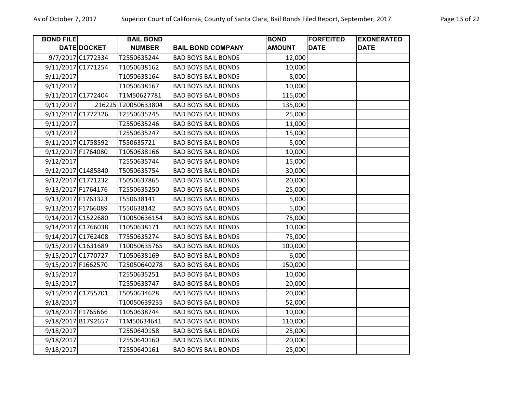| <b>BOND FILE</b>   |                   | <b>BAIL BOND</b>    |                            | <b>BOND</b>   | <b>FORFEITED</b> | <b>EXONERATED</b> |
|--------------------|-------------------|---------------------|----------------------------|---------------|------------------|-------------------|
|                    | DATE DOCKET       | <b>NUMBER</b>       | <b>BAIL BOND COMPANY</b>   | <b>AMOUNT</b> | <b>DATE</b>      | <b>DATE</b>       |
|                    | 9/7/2017 C1772334 | T2550635244         | <b>BAD BOYS BAIL BONDS</b> | 12,000        |                  |                   |
| 9/11/2017 C1771254 |                   | T1050638162         | <b>BAD BOYS BAIL BONDS</b> | 10,000        |                  |                   |
| 9/11/2017          |                   | T1050638164         | <b>BAD BOYS BAIL BONDS</b> | 8,000         |                  |                   |
| 9/11/2017          |                   | T1050638167         | <b>BAD BOYS BAIL BONDS</b> | 10,000        |                  |                   |
| 9/11/2017 C1772404 |                   | T1M50627781         | <b>BAD BOYS BAIL BONDS</b> | 115,000       |                  |                   |
| 9/11/2017          |                   | 216225 720050633804 | <b>BAD BOYS BAIL BONDS</b> | 135,000       |                  |                   |
| 9/11/2017 C1772326 |                   | T2550635245         | <b>BAD BOYS BAIL BONDS</b> | 25,000        |                  |                   |
| 9/11/2017          |                   | T2550635246         | <b>BAD BOYS BAIL BONDS</b> | 11,000        |                  |                   |
| 9/11/2017          |                   | T2550635247         | <b>BAD BOYS BAIL BONDS</b> | 15,000        |                  |                   |
| 9/11/2017 C1758592 |                   | T550635721          | <b>BAD BOYS BAIL BONDS</b> | 5,000         |                  |                   |
| 9/12/2017 F1764080 |                   | T1050638166         | <b>BAD BOYS BAIL BONDS</b> | 10,000        |                  |                   |
| 9/12/2017          |                   | T2550635744         | <b>BAD BOYS BAIL BONDS</b> | 15,000        |                  |                   |
| 9/12/2017 C1485840 |                   | T5050635754         | <b>BAD BOYS BAIL BONDS</b> | 30,000        |                  |                   |
| 9/12/2017 C1771232 |                   | T5050637865         | <b>BAD BOYS BAIL BONDS</b> | 20,000        |                  |                   |
| 9/13/2017 F1764176 |                   | T2550635250         | <b>BAD BOYS BAIL BONDS</b> | 25,000        |                  |                   |
| 9/13/2017 F1763323 |                   | T550638141          | <b>BAD BOYS BAIL BONDS</b> | 5,000         |                  |                   |
| 9/13/2017 F1766089 |                   | T550638142          | <b>BAD BOYS BAIL BONDS</b> | 5,000         |                  |                   |
| 9/14/2017 C1522680 |                   | T10050636154        | <b>BAD BOYS BAIL BONDS</b> | 75,000        |                  |                   |
| 9/14/2017 C1766038 |                   | T1050638171         | <b>BAD BOYS BAIL BONDS</b> | 10,000        |                  |                   |
| 9/14/2017 C1762408 |                   | T7550635274         | <b>BAD BOYS BAIL BONDS</b> | 75,000        |                  |                   |
| 9/15/2017 C1631689 |                   | T10050635765        | <b>BAD BOYS BAIL BONDS</b> | 100,000       |                  |                   |
| 9/15/2017 C1770727 |                   | T1050638169         | <b>BAD BOYS BAIL BONDS</b> | 6,000         |                  |                   |
| 9/15/2017 F1662570 |                   | T25050640278        | <b>BAD BOYS BAIL BONDS</b> | 150,000       |                  |                   |
| 9/15/2017          |                   | T2550635251         | <b>BAD BOYS BAIL BONDS</b> | 10,000        |                  |                   |
| 9/15/2017          |                   | T2550638747         | <b>BAD BOYS BAIL BONDS</b> | 20,000        |                  |                   |
| 9/15/2017 C1755701 |                   | T5050634628         | <b>BAD BOYS BAIL BONDS</b> | 20,000        |                  |                   |
| 9/18/2017          |                   | T10050639235        | <b>BAD BOYS BAIL BONDS</b> | 52,000        |                  |                   |
| 9/18/2017 F1765666 |                   | T1050638744         | <b>BAD BOYS BAIL BONDS</b> | 10,000        |                  |                   |
| 9/18/2017 B1792657 |                   | T1M50634641         | <b>BAD BOYS BAIL BONDS</b> | 110,000       |                  |                   |
| 9/18/2017          |                   | T2550640158         | <b>BAD BOYS BAIL BONDS</b> | 25,000        |                  |                   |
| 9/18/2017          |                   | T2550640160         | <b>BAD BOYS BAIL BONDS</b> | 20,000        |                  |                   |
| 9/18/2017          |                   | T2550640161         | <b>BAD BOYS BAIL BONDS</b> | 25,000        |                  |                   |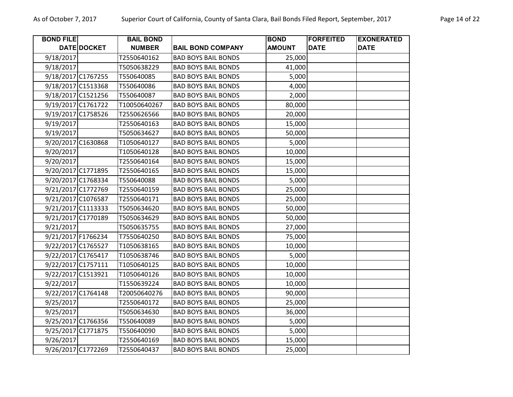| Page 14 o |  |  |
|-----------|--|--|
|-----------|--|--|

| <b>BOND FILE</b>   |                    | <b>BAIL BOND</b> |                            | <b>BOND</b>   | <b>FORFEITED</b> | <b>EXONERATED</b> |
|--------------------|--------------------|------------------|----------------------------|---------------|------------------|-------------------|
|                    | DATE DOCKET        | <b>NUMBER</b>    | <b>BAIL BOND COMPANY</b>   | <b>AMOUNT</b> | <b>DATE</b>      | <b>DATE</b>       |
| 9/18/2017          |                    | T2550640162      | <b>BAD BOYS BAIL BONDS</b> | 25,000        |                  |                   |
| 9/18/2017          |                    | T5050638229      | <b>BAD BOYS BAIL BONDS</b> | 41,000        |                  |                   |
| 9/18/2017 C1767255 |                    | T550640085       | <b>BAD BOYS BAIL BONDS</b> | 5,000         |                  |                   |
| 9/18/2017 C1513368 |                    | T550640086       | <b>BAD BOYS BAIL BONDS</b> | 4,000         |                  |                   |
| 9/18/2017 C1521256 |                    | T550640087       | <b>BAD BOYS BAIL BONDS</b> | 2,000         |                  |                   |
|                    | 9/19/2017 C1761722 | T10050640267     | <b>BAD BOYS BAIL BONDS</b> | 80,000        |                  |                   |
|                    | 9/19/2017 C1758526 | T2550626566      | <b>BAD BOYS BAIL BONDS</b> | 20,000        |                  |                   |
| 9/19/2017          |                    | T2550640163      | <b>BAD BOYS BAIL BONDS</b> | 15,000        |                  |                   |
| 9/19/2017          |                    | T5050634627      | <b>BAD BOYS BAIL BONDS</b> | 50,000        |                  |                   |
| 9/20/2017 C1630868 |                    | T1050640127      | <b>BAD BOYS BAIL BONDS</b> | 5,000         |                  |                   |
| 9/20/2017          |                    | T1050640128      | <b>BAD BOYS BAIL BONDS</b> | 10,000        |                  |                   |
| 9/20/2017          |                    | T2550640164      | <b>BAD BOYS BAIL BONDS</b> | 15,000        |                  |                   |
| 9/20/2017 C1771895 |                    | T2550640165      | <b>BAD BOYS BAIL BONDS</b> | 15,000        |                  |                   |
| 9/20/2017 C1768334 |                    | T550640088       | <b>BAD BOYS BAIL BONDS</b> | 5,000         |                  |                   |
| 9/21/2017 C1772769 |                    | T2550640159      | <b>BAD BOYS BAIL BONDS</b> | 25,000        |                  |                   |
|                    | 9/21/2017 C1076587 | T2550640171      | <b>BAD BOYS BAIL BONDS</b> | 25,000        |                  |                   |
|                    | 9/21/2017 C1113333 | T5050634620      | <b>BAD BOYS BAIL BONDS</b> | 50,000        |                  |                   |
| 9/21/2017 C1770189 |                    | T5050634629      | <b>BAD BOYS BAIL BONDS</b> | 50,000        |                  |                   |
| 9/21/2017          |                    | T5050635755      | <b>BAD BOYS BAIL BONDS</b> | 27,000        |                  |                   |
| 9/21/2017 F1766234 |                    | T7550640250      | <b>BAD BOYS BAIL BONDS</b> | 75,000        |                  |                   |
|                    | 9/22/2017 C1765527 | T1050638165      | <b>BAD BOYS BAIL BONDS</b> | 10,000        |                  |                   |
|                    | 9/22/2017 C1765417 | T1050638746      | <b>BAD BOYS BAIL BONDS</b> | 5,000         |                  |                   |
| 9/22/2017 C1757111 |                    | T1050640125      | <b>BAD BOYS BAIL BONDS</b> | 10,000        |                  |                   |
| 9/22/2017 C1513921 |                    | T1050640126      | <b>BAD BOYS BAIL BONDS</b> | 10,000        |                  |                   |
| 9/22/2017          |                    | T1550639224      | <b>BAD BOYS BAIL BONDS</b> | 10,000        |                  |                   |
| 9/22/2017 C1764148 |                    | T20050640276     | <b>BAD BOYS BAIL BONDS</b> | 90,000        |                  |                   |
| 9/25/2017          |                    | T2550640172      | <b>BAD BOYS BAIL BONDS</b> | 25,000        |                  |                   |
| 9/25/2017          |                    | T5050634630      | <b>BAD BOYS BAIL BONDS</b> | 36,000        |                  |                   |
|                    | 9/25/2017 C1766356 | T550640089       | <b>BAD BOYS BAIL BONDS</b> | 5,000         |                  |                   |
| 9/25/2017 C1771875 |                    | T550640090       | <b>BAD BOYS BAIL BONDS</b> | 5,000         |                  |                   |
| 9/26/2017          |                    | T2550640169      | <b>BAD BOYS BAIL BONDS</b> | 15,000        |                  |                   |
|                    | 9/26/2017 C1772269 | T2550640437      | <b>BAD BOYS BAIL BONDS</b> | 25,000        |                  |                   |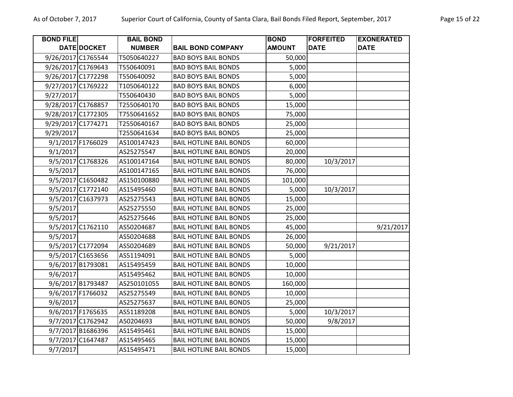| <b>BOND FILE</b>   |                   | <b>BAIL BOND</b> |                                | <b>BOND</b>   | <b>FORFEITED</b> | <b>EXONERATED</b> |
|--------------------|-------------------|------------------|--------------------------------|---------------|------------------|-------------------|
|                    | DATE DOCKET       | <b>NUMBER</b>    | <b>BAIL BOND COMPANY</b>       | <b>AMOUNT</b> | <b>DATE</b>      | <b>DATE</b>       |
| 9/26/2017 C1765544 |                   | T5050640227      | <b>BAD BOYS BAIL BONDS</b>     | 50,000        |                  |                   |
| 9/26/2017 C1769643 |                   | T550640091       | <b>BAD BOYS BAIL BONDS</b>     | 5,000         |                  |                   |
| 9/26/2017 C1772298 |                   | T550640092       | <b>BAD BOYS BAIL BONDS</b>     | 5,000         |                  |                   |
| 9/27/2017 C1769222 |                   | T1050640122      | <b>BAD BOYS BAIL BONDS</b>     | 6,000         |                  |                   |
| 9/27/2017          |                   | T550640430       | <b>BAD BOYS BAIL BONDS</b>     | 5,000         |                  |                   |
| 9/28/2017 C1768857 |                   | T2550640170      | <b>BAD BOYS BAIL BONDS</b>     | 15,000        |                  |                   |
| 9/28/2017 C1772305 |                   | T7550641652      | <b>BAD BOYS BAIL BONDS</b>     | 75,000        |                  |                   |
| 9/29/2017 C1774271 |                   | T2550640167      | <b>BAD BOYS BAIL BONDS</b>     | 25,000        |                  |                   |
| 9/29/2017          |                   | T2550641634      | <b>BAD BOYS BAIL BONDS</b>     | 25,000        |                  |                   |
|                    | 9/1/2017 F1766029 | AS100147423      | <b>BAIL HOTLINE BAIL BONDS</b> | 60,000        |                  |                   |
| 9/1/2017           |                   | AS25275547       | <b>BAIL HOTLINE BAIL BONDS</b> | 20,000        |                  |                   |
|                    | 9/5/2017 C1768326 | AS100147164      | <b>BAIL HOTLINE BAIL BONDS</b> | 80,000        | 10/3/2017        |                   |
| 9/5/2017           |                   | AS100147165      | <b>BAIL HOTLINE BAIL BONDS</b> | 76,000        |                  |                   |
|                    | 9/5/2017 C1650482 | AS150100880      | <b>BAIL HOTLINE BAIL BONDS</b> | 101,000       |                  |                   |
|                    | 9/5/2017 C1772140 | AS15495460       | <b>BAIL HOTLINE BAIL BONDS</b> | 5,000         | 10/3/2017        |                   |
|                    | 9/5/2017 C1637973 | AS25275543       | <b>BAIL HOTLINE BAIL BONDS</b> | 15,000        |                  |                   |
| 9/5/2017           |                   | AS25275550       | <b>BAIL HOTLINE BAIL BONDS</b> | 25,000        |                  |                   |
| 9/5/2017           |                   | AS25275646       | <b>BAIL HOTLINE BAIL BONDS</b> | 25,000        |                  |                   |
|                    | 9/5/2017 C1762110 | AS50204687       | <b>BAIL HOTLINE BAIL BONDS</b> | 45,000        |                  | 9/21/2017         |
| 9/5/2017           |                   | AS50204688       | <b>BAIL HOTLINE BAIL BONDS</b> | 26,000        |                  |                   |
|                    | 9/5/2017 C1772094 | AS50204689       | <b>BAIL HOTLINE BAIL BONDS</b> | 50,000        | 9/21/2017        |                   |
|                    | 9/5/2017 C1653656 | AS51194091       | <b>BAIL HOTLINE BAIL BONDS</b> | 5,000         |                  |                   |
|                    | 9/6/2017 B1793081 | AS15495459       | <b>BAIL HOTLINE BAIL BONDS</b> | 10,000        |                  |                   |
| 9/6/2017           |                   | AS15495462       | <b>BAIL HOTLINE BAIL BONDS</b> | 10,000        |                  |                   |
|                    | 9/6/2017 B1793487 | AS250101055      | <b>BAIL HOTLINE BAIL BONDS</b> | 160,000       |                  |                   |
|                    | 9/6/2017 F1766032 | AS25275549       | <b>BAIL HOTLINE BAIL BONDS</b> | 10,000        |                  |                   |
| 9/6/2017           |                   | AS25275637       | <b>BAIL HOTLINE BAIL BONDS</b> | 25,000        |                  |                   |
|                    | 9/6/2017 F1765635 | AS51189208       | <b>BAIL HOTLINE BAIL BONDS</b> | 5,000         | 10/3/2017        |                   |
|                    | 9/7/2017 C1762942 | A50204693        | <b>BAIL HOTLINE BAIL BONDS</b> | 50,000        | 9/8/2017         |                   |
|                    | 9/7/2017 B1686396 | AS15495461       | <b>BAIL HOTLINE BAIL BONDS</b> | 15,000        |                  |                   |
|                    | 9/7/2017 C1647487 | AS15495465       | <b>BAIL HOTLINE BAIL BONDS</b> | 15,000        |                  |                   |
| 9/7/2017           |                   | AS15495471       | <b>BAIL HOTLINE BAIL BONDS</b> | 15,000        |                  |                   |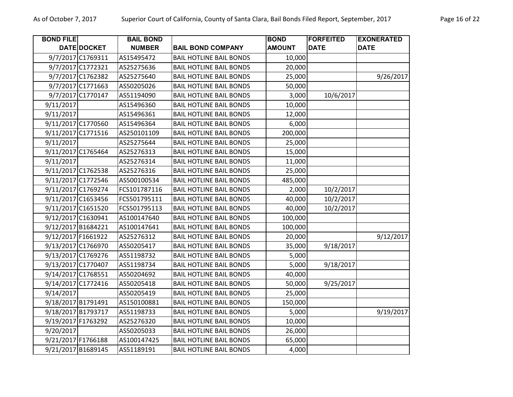| <b>BOND FILE</b>   |                    | <b>BAIL BOND</b> |                                | <b>BOND</b>   | <b>FORFEITED</b> | <b>EXONERATED</b> |
|--------------------|--------------------|------------------|--------------------------------|---------------|------------------|-------------------|
|                    | DATE DOCKET        | <b>NUMBER</b>    | <b>BAIL BOND COMPANY</b>       | <b>AMOUNT</b> | <b>DATE</b>      | <b>DATE</b>       |
|                    | 9/7/2017 C1769311  | AS15495472       | <b>BAIL HOTLINE BAIL BONDS</b> | 10,000        |                  |                   |
|                    | 9/7/2017 C1772321  | AS25275636       | <b>BAIL HOTLINE BAIL BONDS</b> | 20,000        |                  |                   |
|                    | 9/7/2017 C1762382  | AS25275640       | <b>BAIL HOTLINE BAIL BONDS</b> | 25,000        |                  | 9/26/2017         |
|                    | 9/7/2017 C1771663  | AS50205026       | <b>BAIL HOTLINE BAIL BONDS</b> | 50,000        |                  |                   |
|                    | 9/7/2017 C1770147  | AS51194090       | <b>BAIL HOTLINE BAIL BONDS</b> | 3,000         | 10/6/2017        |                   |
| 9/11/2017          |                    | AS15496360       | <b>BAIL HOTLINE BAIL BONDS</b> | 10,000        |                  |                   |
| 9/11/2017          |                    | AS15496361       | <b>BAIL HOTLINE BAIL BONDS</b> | 12,000        |                  |                   |
|                    | 9/11/2017 C1770560 | AS15496364       | <b>BAIL HOTLINE BAIL BONDS</b> | 6,000         |                  |                   |
|                    | 9/11/2017 C1771516 | AS250101109      | <b>BAIL HOTLINE BAIL BONDS</b> | 200,000       |                  |                   |
| 9/11/2017          |                    | AS25275644       | <b>BAIL HOTLINE BAIL BONDS</b> | 25,000        |                  |                   |
|                    | 9/11/2017 C1765464 | AS25276313       | <b>BAIL HOTLINE BAIL BONDS</b> | 15,000        |                  |                   |
| 9/11/2017          |                    | AS25276314       | <b>BAIL HOTLINE BAIL BONDS</b> | 11,000        |                  |                   |
|                    | 9/11/2017 C1762538 | AS25276316       | <b>BAIL HOTLINE BAIL BONDS</b> | 25,000        |                  |                   |
|                    | 9/11/2017 C1772546 | AS500100534      | <b>BAIL HOTLINE BAIL BONDS</b> | 485,000       |                  |                   |
|                    | 9/11/2017 C1769274 | FCS101787116     | <b>BAIL HOTLINE BAIL BONDS</b> | 2,000         | 10/2/2017        |                   |
|                    | 9/11/2017 C1653456 | FCS501795111     | <b>BAIL HOTLINE BAIL BONDS</b> | 40,000        | 10/2/2017        |                   |
|                    | 9/11/2017 C1651520 | FCS501795113     | <b>BAIL HOTLINE BAIL BONDS</b> | 40,000        | 10/2/2017        |                   |
|                    | 9/12/2017 C1630941 | AS100147640      | <b>BAIL HOTLINE BAIL BONDS</b> | 100,000       |                  |                   |
| 9/12/2017 B1684221 |                    | AS100147641      | <b>BAIL HOTLINE BAIL BONDS</b> | 100,000       |                  |                   |
|                    | 9/12/2017 F1661922 | AS25276312       | <b>BAIL HOTLINE BAIL BONDS</b> | 20,000        |                  | 9/12/2017         |
|                    | 9/13/2017 C1766970 | AS50205417       | <b>BAIL HOTLINE BAIL BONDS</b> | 35,000        | 9/18/2017        |                   |
|                    | 9/13/2017 C1769276 | AS51198732       | <b>BAIL HOTLINE BAIL BONDS</b> | 5,000         |                  |                   |
|                    | 9/13/2017 C1770407 | AS51198734       | <b>BAIL HOTLINE BAIL BONDS</b> | 5,000         | 9/18/2017        |                   |
| 9/14/2017 C1768551 |                    | AS50204692       | <b>BAIL HOTLINE BAIL BONDS</b> | 40,000        |                  |                   |
|                    | 9/14/2017 C1772416 | AS50205418       | <b>BAIL HOTLINE BAIL BONDS</b> | 50,000        | 9/25/2017        |                   |
| 9/14/2017          |                    | AS50205419       | <b>BAIL HOTLINE BAIL BONDS</b> | 25,000        |                  |                   |
|                    | 9/18/2017 B1791491 | AS150100881      | <b>BAIL HOTLINE BAIL BONDS</b> | 150,000       |                  |                   |
|                    | 9/18/2017 B1793717 | AS51198733       | <b>BAIL HOTLINE BAIL BONDS</b> | 5,000         |                  | 9/19/2017         |
| 9/19/2017 F1763292 |                    | AS25276320       | <b>BAIL HOTLINE BAIL BONDS</b> | 10,000        |                  |                   |
| 9/20/2017          |                    | AS50205033       | <b>BAIL HOTLINE BAIL BONDS</b> | 26,000        |                  |                   |
|                    | 9/21/2017 F1766188 | AS100147425      | <b>BAIL HOTLINE BAIL BONDS</b> | 65,000        |                  |                   |
|                    | 9/21/2017 B1689145 | AS51189191       | <b>BAIL HOTLINE BAIL BONDS</b> | 4,000         |                  |                   |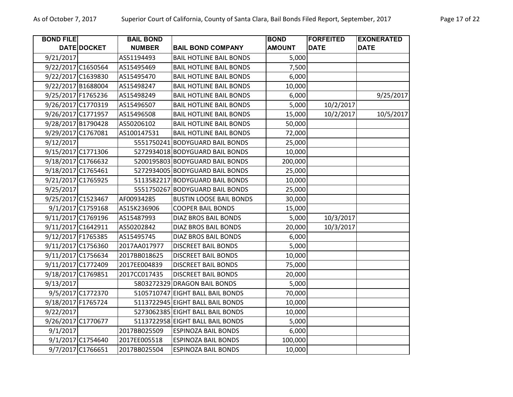| <b>BOND FILE</b>   |                    | <b>BAIL BOND</b> |                                  | <b>BOND</b>   | <b>FORFEITED</b> | <b>EXONERATED</b> |
|--------------------|--------------------|------------------|----------------------------------|---------------|------------------|-------------------|
|                    | DATE DOCKET        | <b>NUMBER</b>    | <b>BAIL BOND COMPANY</b>         | <b>AMOUNT</b> | <b>DATE</b>      | <b>DATE</b>       |
| 9/21/2017          |                    | AS51194493       | <b>BAIL HOTLINE BAIL BONDS</b>   | 5,000         |                  |                   |
| 9/22/2017 C1650564 |                    | AS15495469       | <b>BAIL HOTLINE BAIL BONDS</b>   | 7,500         |                  |                   |
|                    | 9/22/2017 C1639830 | AS15495470       | <b>BAIL HOTLINE BAIL BONDS</b>   | 6,000         |                  |                   |
|                    | 9/22/2017 B1688004 | AS15498247       | <b>BAIL HOTLINE BAIL BONDS</b>   | 10,000        |                  |                   |
| 9/25/2017 F1765236 |                    | AS15498249       | <b>BAIL HOTLINE BAIL BONDS</b>   | 6,000         |                  | 9/25/2017         |
|                    | 9/26/2017 C1770319 | AS15496507       | <b>BAIL HOTLINE BAIL BONDS</b>   | 5,000         | 10/2/2017        |                   |
| 9/26/2017 C1771957 |                    | AS15496508       | <b>BAIL HOTLINE BAIL BONDS</b>   | 15,000        | 10/2/2017        | 10/5/2017         |
|                    | 9/28/2017 B1790428 | AS50206102       | <b>BAIL HOTLINE BAIL BONDS</b>   | 50,000        |                  |                   |
| 9/29/2017 C1767081 |                    | AS100147531      | <b>BAIL HOTLINE BAIL BONDS</b>   | 72,000        |                  |                   |
| 9/12/2017          |                    |                  | 5551750241 BODYGUARD BAIL BONDS  | 25,000        |                  |                   |
|                    | 9/15/2017 C1771306 |                  | 5272934018 BODYGUARD BAIL BONDS  | 10,000        |                  |                   |
|                    | 9/18/2017 C1766632 |                  | 5200195803 BODYGUARD BAIL BONDS  | 200,000       |                  |                   |
| 9/18/2017 C1765461 |                    |                  | 5272934005 BODYGUARD BAIL BONDS  | 25,000        |                  |                   |
| 9/21/2017 C1765925 |                    |                  | 5113582217 BODYGUARD BAIL BONDS  | 10,000        |                  |                   |
| 9/25/2017          |                    |                  | 5551750267 BODYGUARD BAIL BONDS  | 25,000        |                  |                   |
| 9/25/2017 C1523467 |                    | AF00934285       | <b>BUSTIN LOOSE BAIL BONDS</b>   | 30,000        |                  |                   |
|                    | 9/1/2017 C1759168  | AS15K236906      | <b>COOPER BAIL BONDS</b>         | 15,000        |                  |                   |
|                    | 9/11/2017 C1769196 | AS15487993       | DIAZ BROS BAIL BONDS             | 5,000         | 10/3/2017        |                   |
| 9/11/2017 C1642911 |                    | AS50202842       | DIAZ BROS BAIL BONDS             | 20,000        | 10/3/2017        |                   |
| 9/12/2017 F1765385 |                    | AS15495745       | DIAZ BROS BAIL BONDS             | 6,000         |                  |                   |
|                    | 9/11/2017 C1756360 | 2017AA017977     | <b>DISCREET BAIL BONDS</b>       | 5,000         |                  |                   |
| 9/11/2017 C1756634 |                    | 2017BB018625     | <b>DISCREET BAIL BONDS</b>       | 10,000        |                  |                   |
| 9/11/2017 C1772409 |                    | 2017EE004839     | <b>DISCREET BAIL BONDS</b>       | 75,000        |                  |                   |
| 9/18/2017 C1769851 |                    | 2017CC017435     | <b>DISCREET BAIL BONDS</b>       | 20,000        |                  |                   |
| 9/13/2017          |                    |                  | 5803272329 DRAGON BAIL BONDS     | 5,000         |                  |                   |
|                    | 9/5/2017 C1772370  |                  | 5105710747 EIGHT BALL BAIL BONDS | 70,000        |                  |                   |
| 9/18/2017 F1765724 |                    |                  | 5113722945 EIGHT BALL BAIL BONDS | 10,000        |                  |                   |
| 9/22/2017          |                    |                  | 5273062385 EIGHT BALL BAIL BONDS | 10,000        |                  |                   |
| 9/26/2017 C1770677 |                    |                  | 5113722958 EIGHT BALL BAIL BONDS | 5,000         |                  |                   |
| 9/1/2017           |                    | 2017BB025509     | <b>ESPINOZA BAIL BONDS</b>       | 6,000         |                  |                   |
|                    | 9/1/2017 C1754640  | 2017EE005518     | <b>ESPINOZA BAIL BONDS</b>       | 100,000       |                  |                   |
|                    | 9/7/2017 C1766651  | 2017BB025504     | <b>ESPINOZA BAIL BONDS</b>       | 10,000        |                  |                   |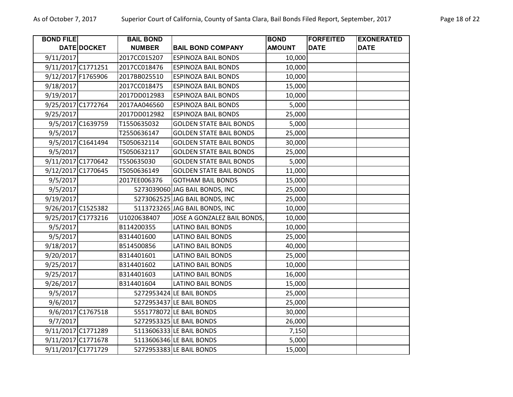| <b>BOND FILE</b> |                    | <b>BAIL BOND</b> |                                | <b>BOND</b>   | <b>FORFEITED</b> | <b>EXONERATED</b> |
|------------------|--------------------|------------------|--------------------------------|---------------|------------------|-------------------|
|                  | DATE DOCKET        | <b>NUMBER</b>    | <b>BAIL BOND COMPANY</b>       | <b>AMOUNT</b> | <b>DATE</b>      | <b>DATE</b>       |
| 9/11/2017        |                    | 2017CC015207     | <b>ESPINOZA BAIL BONDS</b>     | 10,000        |                  |                   |
|                  | 9/11/2017 C1771251 | 2017CC018476     | <b>ESPINOZA BAIL BONDS</b>     | 10,000        |                  |                   |
|                  | 9/12/2017 F1765906 | 2017BB025510     | <b>ESPINOZA BAIL BONDS</b>     | 10,000        |                  |                   |
| 9/18/2017        |                    | 2017CC018475     | <b>ESPINOZA BAIL BONDS</b>     | 15,000        |                  |                   |
| 9/19/2017        |                    | 2017DD012983     | <b>ESPINOZA BAIL BONDS</b>     | 10,000        |                  |                   |
|                  | 9/25/2017 C1772764 | 2017AA046560     | <b>ESPINOZA BAIL BONDS</b>     | 5,000         |                  |                   |
| 9/25/2017        |                    | 2017DD012982     | <b>ESPINOZA BAIL BONDS</b>     | 25,000        |                  |                   |
|                  | 9/5/2017 C1639759  | T1550635032      | <b>GOLDEN STATE BAIL BONDS</b> | 5,000         |                  |                   |
| 9/5/2017         |                    | T2550636147      | <b>GOLDEN STATE BAIL BONDS</b> | 25,000        |                  |                   |
|                  | 9/5/2017 C1641494  | T5050632114      | <b>GOLDEN STATE BAIL BONDS</b> | 30,000        |                  |                   |
| 9/5/2017         |                    | T5050632117      | <b>GOLDEN STATE BAIL BONDS</b> | 25,000        |                  |                   |
|                  | 9/11/2017 C1770642 | T550635030       | <b>GOLDEN STATE BAIL BONDS</b> | 5,000         |                  |                   |
|                  | 9/12/2017 C1770645 | T5050636149      | <b>GOLDEN STATE BAIL BONDS</b> | 11,000        |                  |                   |
| 9/5/2017         |                    | 2017EE006376     | <b>GOTHAM BAIL BONDS</b>       | 15,000        |                  |                   |
| 9/5/2017         |                    |                  | 5273039060 JAG BAIL BONDS, INC | 25,000        |                  |                   |
| 9/19/2017        |                    |                  | 5273062525 JAG BAIL BONDS, INC | 25,000        |                  |                   |
|                  | 9/26/2017 C1525382 |                  | 5113723265 JAG BAIL BONDS, INC | 10,000        |                  |                   |
|                  | 9/25/2017 C1773216 | U1020638407      | JOSE A GONZALEZ BAIL BONDS,    | 10,000        |                  |                   |
| 9/5/2017         |                    | B114200355       | <b>LATINO BAIL BONDS</b>       | 10,000        |                  |                   |
| 9/5/2017         |                    | B314401600       | <b>LATINO BAIL BONDS</b>       | 25,000        |                  |                   |
| 9/18/2017        |                    | B514500856       | <b>LATINO BAIL BONDS</b>       | 40,000        |                  |                   |
| 9/20/2017        |                    | B314401601       | LATINO BAIL BONDS              | 25,000        |                  |                   |
| 9/25/2017        |                    | B314401602       | <b>LATINO BAIL BONDS</b>       | 10,000        |                  |                   |
| 9/25/2017        |                    | B314401603       | <b>LATINO BAIL BONDS</b>       | 16,000        |                  |                   |
| 9/26/2017        |                    | B314401604       | <b>LATINO BAIL BONDS</b>       | 15,000        |                  |                   |
| 9/5/2017         |                    |                  | 5272953424 LE BAIL BONDS       | 25,000        |                  |                   |
| 9/6/2017         |                    |                  | 5272953437 LE BAIL BONDS       | 25,000        |                  |                   |
|                  | 9/6/2017 C1767518  |                  | 5551778072 LE BAIL BONDS       | 30,000        |                  |                   |
| 9/7/2017         |                    |                  | 5272953325 LE BAIL BONDS       | 26,000        |                  |                   |
|                  | 9/11/2017 C1771289 |                  | 5113606333 LE BAIL BONDS       | 7,150         |                  |                   |
|                  | 9/11/2017 C1771678 |                  | 5113606346 LE BAIL BONDS       | 5,000         |                  |                   |
|                  | 9/11/2017 C1771729 |                  | 5272953383 LE BAIL BONDS       | 15,000        |                  |                   |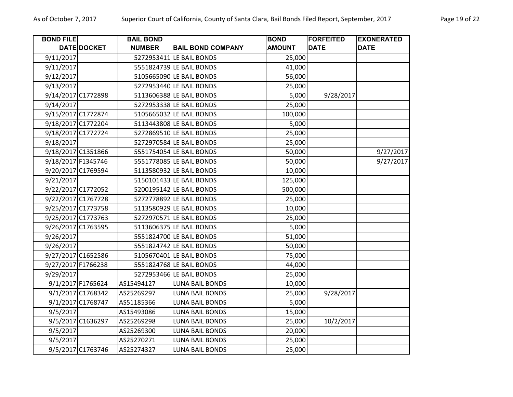| <b>BOND FILE</b>   |                    | <b>BAIL BOND</b> |                          | <b>BOND</b>   | <b>FORFEITED</b> | <b>EXONERATED</b> |
|--------------------|--------------------|------------------|--------------------------|---------------|------------------|-------------------|
|                    | DATE DOCKET        | <b>NUMBER</b>    | <b>BAIL BOND COMPANY</b> | <b>AMOUNT</b> | <b>DATE</b>      | <b>DATE</b>       |
| 9/11/2017          |                    |                  | 5272953411 LE BAIL BONDS | 25,000        |                  |                   |
| 9/11/2017          |                    |                  | 5551824739 LE BAIL BONDS | 41,000        |                  |                   |
| 9/12/2017          |                    |                  | 5105665090 LE BAIL BONDS | 56,000        |                  |                   |
| 9/13/2017          |                    |                  | 5272953440 LE BAIL BONDS | 25,000        |                  |                   |
|                    | 9/14/2017 C1772898 |                  | 5113606388 LE BAIL BONDS | 5,000         | 9/28/2017        |                   |
| 9/14/2017          |                    |                  | 5272953338 LE BAIL BONDS | 25,000        |                  |                   |
|                    | 9/15/2017 C1772874 |                  | 5105665032 LE BAIL BONDS | 100,000       |                  |                   |
|                    | 9/18/2017 C1772204 |                  | 5113443808 LE BAIL BONDS | 5,000         |                  |                   |
|                    | 9/18/2017 C1772724 |                  | 5272869510 LE BAIL BONDS | 25,000        |                  |                   |
| 9/18/2017          |                    |                  | 5272970584 LE BAIL BONDS | 25,000        |                  |                   |
| 9/18/2017 C1351866 |                    |                  | 5551754054 LE BAIL BONDS | 50,000        |                  | 9/27/2017         |
| 9/18/2017 F1345746 |                    |                  | 5551778085 LE BAIL BONDS | 50,000        |                  | 9/27/2017         |
|                    | 9/20/2017 C1769594 |                  | 5113580932 LE BAIL BONDS | 10,000        |                  |                   |
| 9/21/2017          |                    |                  | 5150101433 LE BAIL BONDS | 125,000       |                  |                   |
| 9/22/2017 C1772052 |                    |                  | 5200195142 LE BAIL BONDS | 500,000       |                  |                   |
|                    | 9/22/2017 C1767728 |                  | 5272778892 LE BAIL BONDS | 25,000        |                  |                   |
|                    | 9/25/2017 C1773758 |                  | 5113580929 LE BAIL BONDS | 10,000        |                  |                   |
| 9/25/2017 C1773763 |                    |                  | 5272970571 LE BAIL BONDS | 25,000        |                  |                   |
| 9/26/2017 C1763595 |                    |                  | 5113606375 LE BAIL BONDS | 5,000         |                  |                   |
| 9/26/2017          |                    |                  | 5551824700 LE BAIL BONDS | 51,000        |                  |                   |
| 9/26/2017          |                    |                  | 5551824742 LE BAIL BONDS | 50,000        |                  |                   |
|                    | 9/27/2017 C1652586 |                  | 5105670401 LE BAIL BONDS | 75,000        |                  |                   |
| 9/27/2017 F1766238 |                    |                  | 5551824768 LE BAIL BONDS | 44,000        |                  |                   |
| 9/29/2017          |                    |                  | 5272953466 LE BAIL BONDS | 25,000        |                  |                   |
|                    | 9/1/2017 F1765624  | AS15494127       | <b>LUNA BAIL BONDS</b>   | 10,000        |                  |                   |
|                    | 9/1/2017 C1768342  | AS25269297       | <b>LUNA BAIL BONDS</b>   | 25,000        | 9/28/2017        |                   |
|                    | 9/1/2017 C1768747  | AS51185366       | <b>LUNA BAIL BONDS</b>   | 5,000         |                  |                   |
| 9/5/2017           |                    | AS15493086       | <b>LUNA BAIL BONDS</b>   | 15,000        |                  |                   |
|                    | 9/5/2017 C1636297  | AS25269298       | <b>LUNA BAIL BONDS</b>   | 25,000        | 10/2/2017        |                   |
| 9/5/2017           |                    | AS25269300       | <b>LUNA BAIL BONDS</b>   | 20,000        |                  |                   |
| 9/5/2017           |                    | AS25270271       | <b>LUNA BAIL BONDS</b>   | 25,000        |                  |                   |
|                    | 9/5/2017 C1763746  | AS25274327       | <b>LUNA BAIL BONDS</b>   | 25,000        |                  |                   |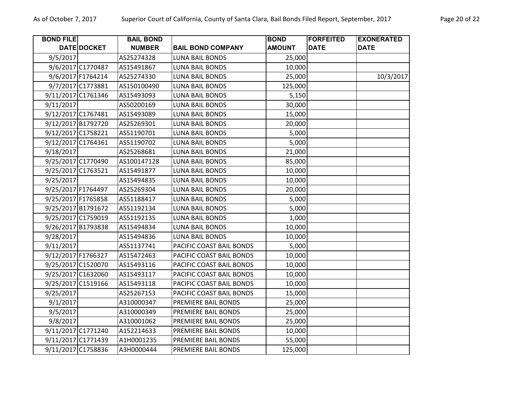| <b>BOND FILE</b>   |                    | <b>BAIL BOND</b> |                          | <b>BOND</b>   | <b>FORFEITED</b> | <b>EXONERATED</b> |
|--------------------|--------------------|------------------|--------------------------|---------------|------------------|-------------------|
|                    | DATE DOCKET        | <b>NUMBER</b>    | <b>BAIL BOND COMPANY</b> | <b>AMOUNT</b> | <b>DATE</b>      | <b>DATE</b>       |
| 9/5/2017           |                    | AS25274328       | <b>LUNA BAIL BONDS</b>   | 25,000        |                  |                   |
|                    | 9/6/2017 C1770487  | AS15491867       | <b>LUNA BAIL BONDS</b>   | 10,000        |                  |                   |
|                    | 9/6/2017 F1764214  | AS25274330       | <b>LUNA BAIL BONDS</b>   | 25,000        |                  | 10/3/2017         |
|                    | 9/7/2017 C1773881  | AS150100490      | <b>LUNA BAIL BONDS</b>   | 125,000       |                  |                   |
|                    | 9/11/2017 C1761346 | AS15493093       | LUNA BAIL BONDS          | 5,150         |                  |                   |
| 9/11/2017          |                    | AS50200169       | LUNA BAIL BONDS          | 30,000        |                  |                   |
|                    | 9/12/2017 C1767481 | AS15493089       | <b>LUNA BAIL BONDS</b>   | 15,000        |                  |                   |
|                    | 9/12/2017 B1792720 | AS25269301       | <b>LUNA BAIL BONDS</b>   | 20,000        |                  |                   |
| 9/12/2017 C1758221 |                    | AS51190701       | <b>LUNA BAIL BONDS</b>   | 5,000         |                  |                   |
|                    | 9/12/2017 C1764361 | AS51190702       | LUNA BAIL BONDS          | 5,000         |                  |                   |
| 9/18/2017          |                    | AS25268681       | <b>LUNA BAIL BONDS</b>   | 21,000        |                  |                   |
|                    | 9/25/2017 C1770490 | AS100147128      | <b>LUNA BAIL BONDS</b>   | 85,000        |                  |                   |
| 9/25/2017 C1763521 |                    | AS15491877       | <b>LUNA BAIL BONDS</b>   | 10,000        |                  |                   |
| 9/25/2017          |                    | AS15494835       | <b>LUNA BAIL BONDS</b>   | 10,000        |                  |                   |
|                    | 9/25/2017 F1764497 | AS25269304       | <b>LUNA BAIL BONDS</b>   | 20,000        |                  |                   |
|                    | 9/25/2017 F1765858 | AS51188417       | LUNA BAIL BONDS          | 5,000         |                  |                   |
|                    | 9/25/2017 B1791672 | AS51192134       | <b>LUNA BAIL BONDS</b>   | 5,000         |                  |                   |
|                    | 9/25/2017 C1759019 | AS51192135       | <b>LUNA BAIL BONDS</b>   | 1,000         |                  |                   |
| 9/26/2017 B1793838 |                    | AS15494834       | LUNA BAIL BONDS          | 10,000        |                  |                   |
| 9/28/2017          |                    | AS15494836       | LUNA BAIL BONDS          | 10,000        |                  |                   |
| 9/11/2017          |                    | AS51137741       | PACIFIC COAST BAIL BONDS | 5,000         |                  |                   |
|                    | 9/12/2017 F1766327 | AS15472463       | PACIFIC COAST BAIL BONDS | 10,000        |                  |                   |
|                    | 9/25/2017 C1520070 | AS15493116       | PACIFIC COAST BAIL BONDS | 10,000        |                  |                   |
|                    | 9/25/2017 C1632060 | AS15493117       | PACIFIC COAST BAIL BONDS | 10,000        |                  |                   |
|                    | 9/25/2017 C1519166 | AS15493118       | PACIFIC COAST BAIL BONDS | 10,000        |                  |                   |
| 9/25/2017          |                    | AS25267153       | PACIFIC COAST BAIL BONDS | 15,000        |                  |                   |
| 9/1/2017           |                    | A310000347       | PREMIERE BAIL BONDS      | 25,000        |                  |                   |
| 9/5/2017           |                    | A310000349       | PREMIERE BAIL BONDS      | 25,000        |                  |                   |
| 9/8/2017           |                    | A310001062       | PREMIERE BAIL BONDS      | 25,000        |                  |                   |
|                    | 9/11/2017 C1771240 | A152214633       | PREMIERE BAIL BONDS      | 10,000        |                  |                   |
|                    | 9/11/2017 C1771439 | A1H0001235       | PREMIERE BAIL BONDS      | 55,000        |                  |                   |
|                    | 9/11/2017 C1758836 | A3H0000444       | PREMIERE BAIL BONDS      | 125,000       |                  |                   |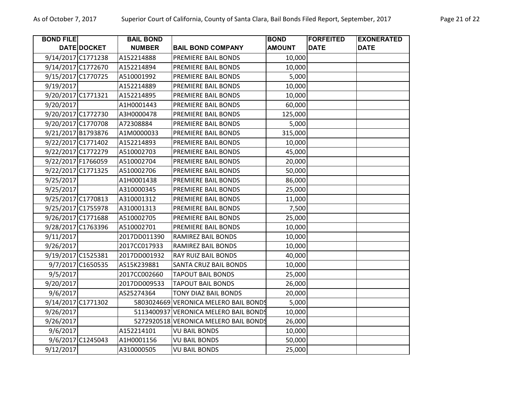| <b>BOND FILE</b>   | DATE DOCKET       | <b>BAIL BOND</b><br><b>NUMBER</b> | <b>BAIL BOND COMPANY</b>              | <b>BOND</b><br><b>AMOUNT</b> | <b>FORFEITED</b><br><b>DATE</b> | <b>EXONERATED</b><br><b>DATE</b> |
|--------------------|-------------------|-----------------------------------|---------------------------------------|------------------------------|---------------------------------|----------------------------------|
| 9/14/2017 C1771238 |                   | A152214888                        | PREMIERE BAIL BONDS                   | 10,000                       |                                 |                                  |
| 9/14/2017 C1772670 |                   | A152214894                        | PREMIERE BAIL BONDS                   | 10,000                       |                                 |                                  |
| 9/15/2017 C1770725 |                   | A510001992                        | PREMIERE BAIL BONDS                   | 5,000                        |                                 |                                  |
| 9/19/2017          |                   | A152214889                        | PREMIERE BAIL BONDS                   | 10,000                       |                                 |                                  |
| 9/20/2017 C1771321 |                   | A152214895                        | PREMIERE BAIL BONDS                   | 10,000                       |                                 |                                  |
| 9/20/2017          |                   | A1H0001443                        | PREMIERE BAIL BONDS                   | 60,000                       |                                 |                                  |
| 9/20/2017 C1772730 |                   | A3H0000478                        | PREMIERE BAIL BONDS                   | 125,000                      |                                 |                                  |
| 9/20/2017 C1770708 |                   | A72308884                         | PREMIERE BAIL BONDS                   | 5,000                        |                                 |                                  |
| 9/21/2017 B1793876 |                   | A1M0000033                        | PREMIERE BAIL BONDS                   | 315,000                      |                                 |                                  |
| 9/22/2017 C1771402 |                   | A152214893                        | PREMIERE BAIL BONDS                   | 10,000                       |                                 |                                  |
| 9/22/2017 C1772279 |                   | A510002703                        | PREMIERE BAIL BONDS                   | 45,000                       |                                 |                                  |
| 9/22/2017 F1766059 |                   | A510002704                        | PREMIERE BAIL BONDS                   | 20,000                       |                                 |                                  |
| 9/22/2017 C1771325 |                   | A510002706                        | PREMIERE BAIL BONDS                   | 50,000                       |                                 |                                  |
| 9/25/2017          |                   | A1H0001438                        | PREMIERE BAIL BONDS                   | 86,000                       |                                 |                                  |
| 9/25/2017          |                   | A310000345                        | PREMIERE BAIL BONDS                   | 25,000                       |                                 |                                  |
| 9/25/2017 C1770813 |                   | A310001312                        | PREMIERE BAIL BONDS                   | 11,000                       |                                 |                                  |
| 9/25/2017 C1755978 |                   | A310001313                        | PREMIERE BAIL BONDS                   | 7,500                        |                                 |                                  |
| 9/26/2017 C1771688 |                   | A510002705                        | PREMIERE BAIL BONDS                   | 25,000                       |                                 |                                  |
| 9/28/2017 C1763396 |                   | A510002701                        | PREMIERE BAIL BONDS                   | 10,000                       |                                 |                                  |
| 9/11/2017          |                   | 2017DD011390                      | RAMIREZ BAIL BONDS                    | 10,000                       |                                 |                                  |
| 9/26/2017          |                   | 2017CC017933                      | <b>RAMIREZ BAIL BONDS</b>             | 10,000                       |                                 |                                  |
| 9/19/2017 C1525381 |                   | 2017DD001932                      | <b>RAY RUIZ BAIL BONDS</b>            | 40,000                       |                                 |                                  |
|                    | 9/7/2017 C1650535 | AS15K239881                       | <b>SANTA CRUZ BAIL BONDS</b>          | 10,000                       |                                 |                                  |
| 9/5/2017           |                   | 2017CC002660                      | <b>TAPOUT BAIL BONDS</b>              | 25,000                       |                                 |                                  |
| 9/20/2017          |                   | 2017DD009533                      | <b>TAPOUT BAIL BONDS</b>              | 26,000                       |                                 |                                  |
| 9/6/2017           |                   | AS25274364                        | <b>TONY DIAZ BAIL BONDS</b>           | 20,000                       |                                 |                                  |
| 9/14/2017 C1771302 |                   |                                   | 5803024669 VERONICA MELERO BAIL BONDS | 5,000                        |                                 |                                  |
| 9/26/2017          |                   |                                   | 5113400937 VERONICA MELERO BAIL BONDS | 10,000                       |                                 |                                  |
| 9/26/2017          |                   |                                   | 5272920518 VERONICA MELERO BAIL BONDS | 26,000                       |                                 |                                  |
| 9/6/2017           |                   | A152214101                        | <b>VU BAIL BONDS</b>                  | 10,000                       |                                 |                                  |
|                    | 9/6/2017 C1245043 | A1H0001156                        | <b>VU BAIL BONDS</b>                  | 50,000                       |                                 |                                  |
| 9/12/2017          |                   | A310000505                        | <b>VU BAIL BONDS</b>                  | 25,000                       |                                 |                                  |